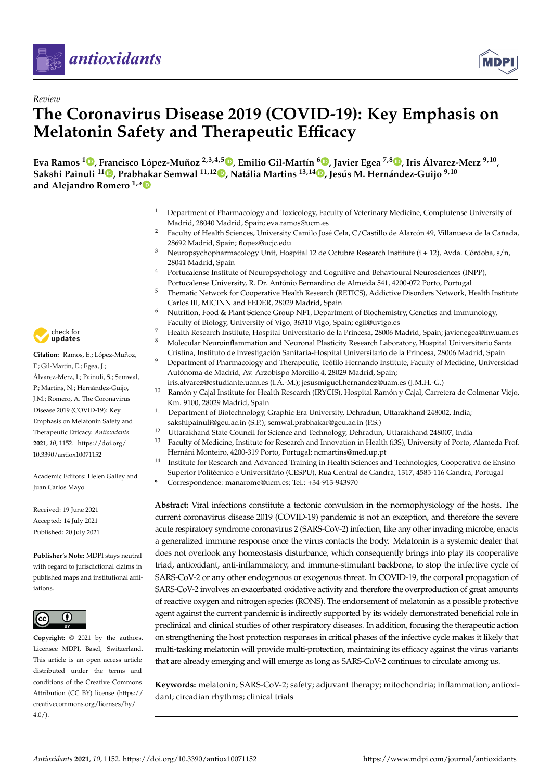



# *Review* **The Coronavirus Disease 2019 (COVID-19): Key Emphasis on Melatonin Safety and Therapeutic Efficacy**

Eva Ramos <sup>1</sup>®[,](https://orcid.org/0000-0003-4704-3019) Francisco López-Muñoz <sup>2,3,4,5</sup>®, Emilio Gil-Martín <sup>6</sup>®, Javier Egea <sup>7,8</sup>®, Iris Álvarez-Merz <sup>9,10</sup>, **Sakshi Painuli <sup>11</sup> [,](https://orcid.org/0000-0002-8941-2006) Prabhakar Semwal 11,1[2](https://orcid.org/0000-0001-5137-5169) , Natália Martins 13,14 [,](https://orcid.org/0000-0002-5934-5201) Jesús M. Hernández-Guijo 9,10 and Alejandro Romero 1,[\\*](https://orcid.org/0000-0001-5483-4973)**

- <sup>1</sup> Department of Pharmacology and Toxicology, Faculty of Veterinary Medicine, Complutense University of Madrid, 28040 Madrid, Spain; eva.ramos@ucm.es
- <sup>2</sup> Faculty of Health Sciences, University Camilo José Cela, C/Castillo de Alarcón 49, Villanueva de la Cañada, 28692 Madrid, Spain; flopez@ucjc.edu
- <sup>3</sup> Neuropsychopharmacology Unit, Hospital 12 de Octubre Research Institute (i + 12), Avda. Córdoba, s/n, 28041 Madrid, Spain
- <sup>4</sup> Portucalense Institute of Neuropsychology and Cognitive and Behavioural Neurosciences (INPP), Portucalense University, R. Dr. António Bernardino de Almeida 541, 4200-072 Porto, Portugal
- <sup>5</sup> Thematic Network for Cooperative Health Research (RETICS), Addictive Disorders Network, Health Institute Carlos III, MICINN and FEDER, 28029 Madrid, Spain
- $6$  Nutrition, Food & Plant Science Group NF1, Department of Biochemistry, Genetics and Immunology, Faculty of Biology, University of Vigo, 36310 Vigo, Spain; egil@uvigo.es
- <sup>7</sup> Health Research Institute, Hospital Universitario de la Princesa, 28006 Madrid, Spain; javier.egea@inv.uam.es <sup>8</sup> Molecular Neuroinflammation and Neuronal Plasticity Research Laboratory, Hospital Universitario Santa
- Cristina, Instituto de Investigación Sanitaria-Hospital Universitario de la Princesa, 28006 Madrid, Spain
- <sup>9</sup> Department of Pharmacology and Therapeutic, Teófilo Hernando Institute, Faculty of Medicine, Universidad Autónoma de Madrid, Av. Arzobispo Morcillo 4, 28029 Madrid, Spain;
- iris.alvarez@estudiante.uam.es (I.Á.-M.); jesusmiguel.hernandez@uam.es (J.M.H.-G.) Ramón y Cajal Institute for Health Research (IRYCIS), Hospital Ramón y Cajal, Carretera de Colmenar Viejo, Km. 9100, 28029 Madrid, Spain
- <sup>11</sup> Department of Biotechnology, Graphic Era University, Dehradun, Uttarakhand 248002, India; sakshipainuli@geu.ac.in (S.P.); semwal.prabhakar@geu.ac.in (P.S.)
- <sup>12</sup> Uttarakhand State Council for Science and Technology, Dehradun, Uttarakhand 248007, India
- <sup>13</sup> Faculty of Medicine, Institute for Research and Innovation in Health (i3S), University of Porto, Alameda Prof. Hernâni Monteiro, 4200-319 Porto, Portugal; ncmartins@med.up.pt
- <sup>14</sup> Institute for Research and Advanced Training in Health Sciences and Technologies, Cooperativa de Ensino Superior Politécnico e Universitário (CESPU), Rua Central de Gandra, 1317, 4585-116 Gandra, Portugal
- **\*** Correspondence: manarome@ucm.es; Tel.: +34-913-943970

**Abstract:** Viral infections constitute a tectonic convulsion in the normophysiology of the hosts. The current coronavirus disease 2019 (COVID-19) pandemic is not an exception, and therefore the severe acute respiratory syndrome coronavirus 2 (SARS-CoV-2) infection, like any other invading microbe, enacts a generalized immune response once the virus contacts the body. Melatonin is a systemic dealer that does not overlook any homeostasis disturbance, which consequently brings into play its cooperative triad, antioxidant, anti-inflammatory, and immune-stimulant backbone, to stop the infective cycle of SARS-CoV-2 or any other endogenous or exogenous threat. In COVID-19, the corporal propagation of SARS-CoV-2 involves an exacerbated oxidative activity and therefore the overproduction of great amounts of reactive oxygen and nitrogen species (RONS). The endorsement of melatonin as a possible protective agent against the current pandemic is indirectly supported by its widely demonstrated beneficial role in preclinical and clinical studies of other respiratory diseases. In addition, focusing the therapeutic action on strengthening the host protection responses in critical phases of the infective cycle makes it likely that multi-tasking melatonin will provide multi-protection, maintaining its efficacy against the virus variants that are already emerging and will emerge as long as SARS-CoV-2 continues to circulate among us.

**Keywords:** melatonin; SARS-CoV-2; safety; adjuvant therapy; mitochondria; inflammation; antioxidant; circadian rhythms; clinical trials



**Citation:** Ramos, E.; López-Muñoz, F.; Gil-Martín, E.; Egea, J.; Álvarez-Merz, I.; Painuli, S.; Semwal, P.; Martins, N.; Hernández-Guijo, J.M.; Romero, A. The Coronavirus Disease 2019 (COVID-19): Key Emphasis on Melatonin Safety and Therapeutic Efficacy. *Antioxidants* **2021**, *10*, 1152. [https://doi.org/](https://doi.org/10.3390/antiox10071152) [10.3390/antiox10071152](https://doi.org/10.3390/antiox10071152)

Academic Editors: Helen Galley and Juan Carlos Mayo

Received: 19 June 2021 Accepted: 14 July 2021 Published: 20 July 2021

**Publisher's Note:** MDPI stays neutral with regard to jurisdictional claims in published maps and institutional affiliations.



**Copyright:** © 2021 by the authors. Licensee MDPI, Basel, Switzerland. This article is an open access article distributed under the terms and conditions of the Creative Commons Attribution (CC BY) license (https:/[/](https://creativecommons.org/licenses/by/4.0/) [creativecommons.org/licenses/by/](https://creativecommons.org/licenses/by/4.0/)  $4.0/$ ).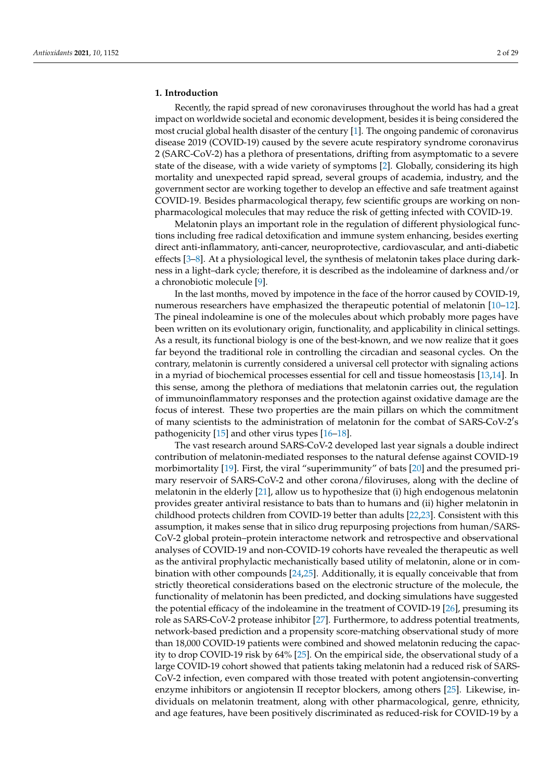#### **1. Introduction**

Recently, the rapid spread of new coronaviruses throughout the world has had a great impact on worldwide societal and economic development, besides it is being considered the most crucial global health disaster of the century [\[1\]](#page-20-0). The ongoing pandemic of coronavirus disease 2019 (COVID-19) caused by the severe acute respiratory syndrome coronavirus 2 (SARC-CoV-2) has a plethora of presentations, drifting from asymptomatic to a severe state of the disease, with a wide variety of symptoms [\[2\]](#page-20-1). Globally, considering its high mortality and unexpected rapid spread, several groups of academia, industry, and the government sector are working together to develop an effective and safe treatment against COVID-19. Besides pharmacological therapy, few scientific groups are working on nonpharmacological molecules that may reduce the risk of getting infected with COVID-19.

Melatonin plays an important role in the regulation of different physiological functions including free radical detoxification and immune system enhancing, besides exerting direct anti-inflammatory, anti-cancer, neuroprotective, cardiovascular, and anti-diabetic effects [\[3–](#page-20-2)[8\]](#page-20-3). At a physiological level, the synthesis of melatonin takes place during darkness in a light–dark cycle; therefore, it is described as the indoleamine of darkness and/or a chronobiotic molecule [\[9\]](#page-20-4).

In the last months, moved by impotence in the face of the horror caused by COVID-19, numerous researchers have emphasized the therapeutic potential of melatonin [\[10](#page-20-5)[–12\]](#page-20-6). The pineal indoleamine is one of the molecules about which probably more pages have been written on its evolutionary origin, functionality, and applicability in clinical settings. As a result, its functional biology is one of the best-known, and we now realize that it goes far beyond the traditional role in controlling the circadian and seasonal cycles. On the contrary, melatonin is currently considered a universal cell protector with signaling actions in a myriad of biochemical processes essential for cell and tissue homeostasis [\[13](#page-20-7)[,14\]](#page-21-0). In this sense, among the plethora of mediations that melatonin carries out, the regulation of immunoinflammatory responses and the protection against oxidative damage are the focus of interest. These two properties are the main pillars on which the commitment of many scientists to the administration of melatonin for the combat of SARS-CoV-2's pathogenicity [\[15\]](#page-21-1) and other virus types [\[16–](#page-21-2)[18\]](#page-21-3).

The vast research around SARS-CoV-2 developed last year signals a double indirect contribution of melatonin-mediated responses to the natural defense against COVID-19 morbimortality [\[19\]](#page-21-4). First, the viral "superimmunity" of bats [\[20\]](#page-21-5) and the presumed primary reservoir of SARS-CoV-2 and other corona/filoviruses, along with the decline of melatonin in the elderly [\[21\]](#page-21-6), allow us to hypothesize that (i) high endogenous melatonin provides greater antiviral resistance to bats than to humans and (ii) higher melatonin in childhood protects children from COVID-19 better than adults [\[22,](#page-21-7)[23\]](#page-21-8). Consistent with this assumption, it makes sense that in silico drug repurposing projections from human/SARS-CoV-2 global protein–protein interactome network and retrospective and observational analyses of COVID-19 and non-COVID-19 cohorts have revealed the therapeutic as well as the antiviral prophylactic mechanistically based utility of melatonin, alone or in combination with other compounds [\[24](#page-21-9)[,25\]](#page-21-10). Additionally, it is equally conceivable that from strictly theoretical considerations based on the electronic structure of the molecule, the functionality of melatonin has been predicted, and docking simulations have suggested the potential efficacy of the indoleamine in the treatment of COVID-19 [\[26\]](#page-21-11), presuming its role as SARS-CoV-2 protease inhibitor [\[27\]](#page-21-12). Furthermore, to address potential treatments, network-based prediction and a propensity score-matching observational study of more than 18,000 COVID-19 patients were combined and showed melatonin reducing the capacity to drop COVID-19 risk by 64% [\[25\]](#page-21-10). On the empirical side, the observational study of a large COVID-19 cohort showed that patients taking melatonin had a reduced risk of SARS-CoV-2 infection, even compared with those treated with potent angiotensin-converting enzyme inhibitors or angiotensin II receptor blockers, among others [\[25\]](#page-21-10). Likewise, individuals on melatonin treatment, along with other pharmacological, genre, ethnicity, and age features, have been positively discriminated as reduced-risk for COVID-19 by a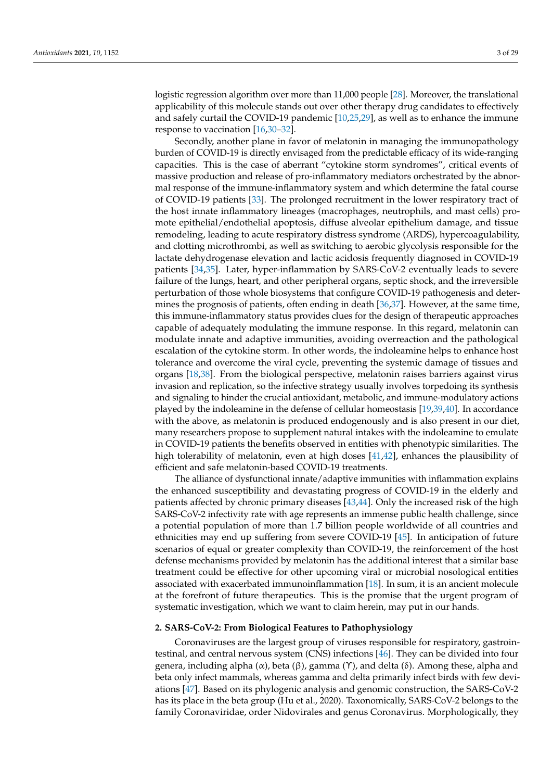logistic regression algorithm over more than 11,000 people [\[28\]](#page-21-13). Moreover, the translational applicability of this molecule stands out over other therapy drug candidates to effectively and safely curtail the COVID-19 pandemic [\[10](#page-20-5)[,25,](#page-21-10)[29\]](#page-21-14), as well as to enhance the immune response to vaccination [\[16,](#page-21-2)[30–](#page-21-15)[32\]](#page-21-16).

Secondly, another plane in favor of melatonin in managing the immunopathology burden of COVID-19 is directly envisaged from the predictable efficacy of its wide-ranging capacities. This is the case of aberrant "cytokine storm syndromes", critical events of massive production and release of pro-inflammatory mediators orchestrated by the abnormal response of the immune-inflammatory system and which determine the fatal course of COVID-19 patients [\[33\]](#page-21-17). The prolonged recruitment in the lower respiratory tract of the host innate inflammatory lineages (macrophages, neutrophils, and mast cells) promote epithelial/endothelial apoptosis, diffuse alveolar epithelium damage, and tissue remodeling, leading to acute respiratory distress syndrome (ARDS), hypercoagulability, and clotting microthrombi, as well as switching to aerobic glycolysis responsible for the lactate dehydrogenase elevation and lactic acidosis frequently diagnosed in COVID-19 patients [\[34,](#page-21-18)[35\]](#page-21-19). Later, hyper-inflammation by SARS-CoV-2 eventually leads to severe failure of the lungs, heart, and other peripheral organs, septic shock, and the irreversible perturbation of those whole biosystems that configure COVID-19 pathogenesis and determines the prognosis of patients, often ending in death [\[36,](#page-21-20)[37\]](#page-21-21). However, at the same time, this immune-inflammatory status provides clues for the design of therapeutic approaches capable of adequately modulating the immune response. In this regard, melatonin can modulate innate and adaptive immunities, avoiding overreaction and the pathological escalation of the cytokine storm. In other words, the indoleamine helps to enhance host tolerance and overcome the viral cycle, preventing the systemic damage of tissues and organs [\[18,](#page-21-3)[38\]](#page-21-22). From the biological perspective, melatonin raises barriers against virus invasion and replication, so the infective strategy usually involves torpedoing its synthesis and signaling to hinder the crucial antioxidant, metabolic, and immune-modulatory actions played by the indoleamine in the defense of cellular homeostasis [\[19,](#page-21-4)[39,](#page-21-23)[40\]](#page-21-24). In accordance with the above, as melatonin is produced endogenously and is also present in our diet, many researchers propose to supplement natural intakes with the indoleamine to emulate in COVID-19 patients the benefits observed in entities with phenotypic similarities. The high tolerability of melatonin, even at high doses [\[41,](#page-21-25)[42\]](#page-22-0), enhances the plausibility of efficient and safe melatonin-based COVID-19 treatments.

The alliance of dysfunctional innate/adaptive immunities with inflammation explains the enhanced susceptibility and devastating progress of COVID-19 in the elderly and patients affected by chronic primary diseases [\[43](#page-22-1)[,44\]](#page-22-2). Only the increased risk of the high SARS-CoV-2 infectivity rate with age represents an immense public health challenge, since a potential population of more than 1.7 billion people worldwide of all countries and ethnicities may end up suffering from severe COVID-19 [\[45\]](#page-22-3). In anticipation of future scenarios of equal or greater complexity than COVID-19, the reinforcement of the host defense mechanisms provided by melatonin has the additional interest that a similar base treatment could be effective for other upcoming viral or microbial nosological entities associated with exacerbated immunoinflammation [\[18\]](#page-21-3). In sum, it is an ancient molecule at the forefront of future therapeutics. This is the promise that the urgent program of systematic investigation, which we want to claim herein, may put in our hands.

#### **2. SARS-CoV-2: From Biological Features to Pathophysiology**

Coronaviruses are the largest group of viruses responsible for respiratory, gastrointestinal, and central nervous system (CNS) infections [\[46\]](#page-22-4). They can be divided into four genera, including alpha (α), beta (β), gamma (Υ), and delta (δ). Among these, alpha and beta only infect mammals, whereas gamma and delta primarily infect birds with few deviations [\[47\]](#page-22-5). Based on its phylogenic analysis and genomic construction, the SARS-CoV-2 has its place in the beta group (Hu et al., 2020). Taxonomically, SARS-CoV-2 belongs to the family Coronaviridae, order Nidovirales and genus Coronavirus. Morphologically, they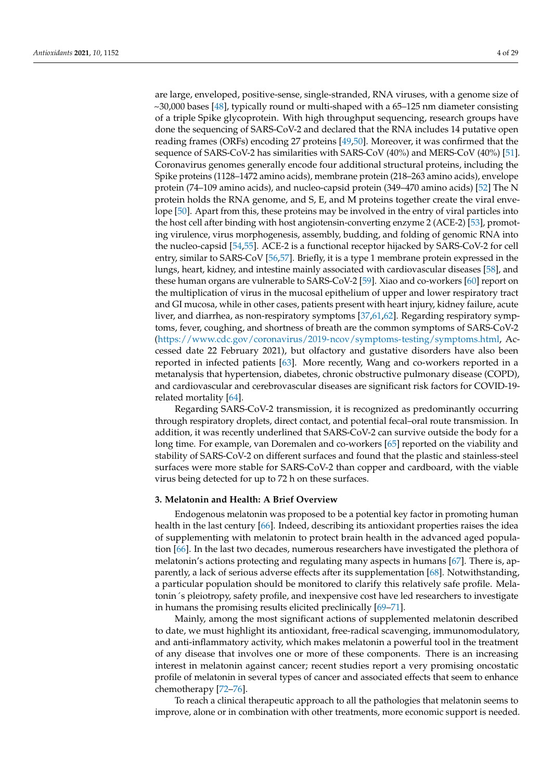are large, enveloped, positive-sense, single-stranded, RNA viruses, with a genome size of ~30,000 bases [\[48\]](#page-22-6), typically round or multi-shaped with a 65–125 nm diameter consisting of a triple Spike glycoprotein. With high throughput sequencing, research groups have done the sequencing of SARS-CoV-2 and declared that the RNA includes 14 putative open reading frames (ORFs) encoding 27 proteins [\[49](#page-22-7)[,50\]](#page-22-8). Moreover, it was confirmed that the sequence of SARS-CoV-2 has similarities with SARS-CoV (40%) and MERS-CoV (40%) [\[51\]](#page-22-9). Coronavirus genomes generally encode four additional structural proteins, including the Spike proteins (1128–1472 amino acids), membrane protein (218–263 amino acids), envelope protein (74–109 amino acids), and nucleo-capsid protein (349–470 amino acids) [\[52\]](#page-22-10) The N protein holds the RNA genome, and S, E, and M proteins together create the viral envelope [\[50\]](#page-22-8). Apart from this, these proteins may be involved in the entry of viral particles into the host cell after binding with host angiotensin-converting enzyme 2 (ACE-2) [\[53\]](#page-22-11), promoting virulence, virus morphogenesis, assembly, budding, and folding of genomic RNA into the nucleo-capsid [\[54](#page-22-12)[,55\]](#page-22-13). ACE-2 is a functional receptor hijacked by SARS-CoV-2 for cell entry, similar to SARS-CoV [\[56,](#page-22-14)[57\]](#page-22-15). Briefly, it is a type 1 membrane protein expressed in the lungs, heart, kidney, and intestine mainly associated with cardiovascular diseases [\[58\]](#page-22-16), and these human organs are vulnerable to SARS-CoV-2 [\[59\]](#page-22-17). Xiao and co-workers [\[60\]](#page-22-18) report on the multiplication of virus in the mucosal epithelium of upper and lower respiratory tract and GI mucosa, while in other cases, patients present with heart injury, kidney failure, acute liver, and diarrhea, as non-respiratory symptoms [\[37,](#page-21-21)[61,](#page-22-19)[62\]](#page-22-20). Regarding respiratory symptoms, fever, coughing, and shortness of breath are the common symptoms of SARS-CoV-2 [\(https://www.cdc.gov/coronavirus/2019-ncov/symptoms-testing/symptoms.html,](https://www.cdc.gov/coronavirus/2019-ncov/symptoms-testing/symptoms.html) Accessed date 22 February 2021), but olfactory and gustative disorders have also been reported in infected patients [\[63\]](#page-22-21). More recently, Wang and co-workers reported in a metanalysis that hypertension, diabetes, chronic obstructive pulmonary disease (COPD), and cardiovascular and cerebrovascular diseases are significant risk factors for COVID-19 related mortality [\[64\]](#page-22-22).

Regarding SARS-CoV-2 transmission, it is recognized as predominantly occurring through respiratory droplets, direct contact, and potential fecal–oral route transmission. In addition, it was recently underlined that SARS-CoV-2 can survive outside the body for a long time. For example, van Doremalen and co-workers [\[65\]](#page-22-23) reported on the viability and stability of SARS-CoV-2 on different surfaces and found that the plastic and stainless-steel surfaces were more stable for SARS-CoV-2 than copper and cardboard, with the viable virus being detected for up to 72 h on these surfaces.

#### **3. Melatonin and Health: A Brief Overview**

Endogenous melatonin was proposed to be a potential key factor in promoting human health in the last century [\[66\]](#page-22-24). Indeed, describing its antioxidant properties raises the idea of supplementing with melatonin to protect brain health in the advanced aged population [\[66\]](#page-22-24). In the last two decades, numerous researchers have investigated the plethora of melatonin's actions protecting and regulating many aspects in humans [\[67\]](#page-22-25). There is, apparently, a lack of serious adverse effects after its supplementation [\[68\]](#page-22-26). Notwithstanding, a particular population should be monitored to clarify this relatively safe profile. Melatonin´s pleiotropy, safety profile, and inexpensive cost have led researchers to investigate in humans the promising results elicited preclinically [\[69–](#page-23-0)[71\]](#page-23-1).

Mainly, among the most significant actions of supplemented melatonin described to date, we must highlight its antioxidant, free-radical scavenging, immunomodulatory, and anti-inflammatory activity, which makes melatonin a powerful tool in the treatment of any disease that involves one or more of these components. There is an increasing interest in melatonin against cancer; recent studies report a very promising oncostatic profile of melatonin in several types of cancer and associated effects that seem to enhance chemotherapy [\[72–](#page-23-2)[76\]](#page-23-3).

To reach a clinical therapeutic approach to all the pathologies that melatonin seems to improve, alone or in combination with other treatments, more economic support is needed.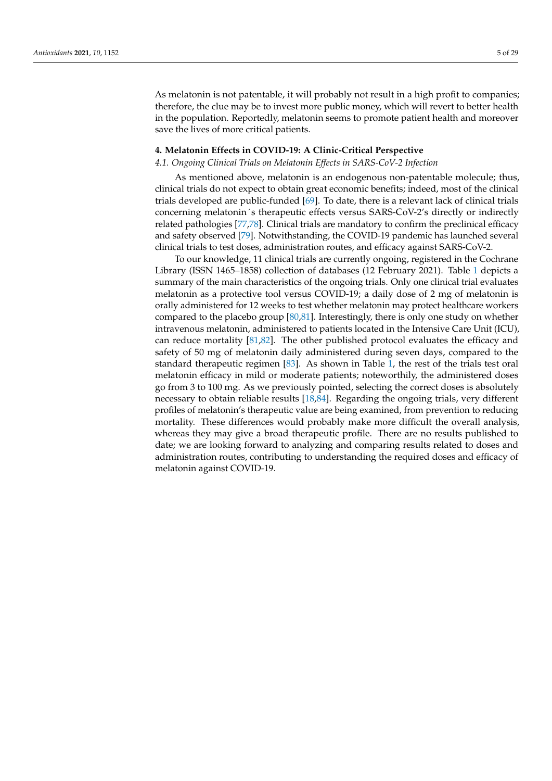As melatonin is not patentable, it will probably not result in a high profit to companies; therefore, the clue may be to invest more public money, which will revert to better health in the population. Reportedly, melatonin seems to promote patient health and moreover save the lives of more critical patients.

## **4. Melatonin Effects in COVID-19: A Clinic-Critical Perspective**

#### *4.1. Ongoing Clinical Trials on Melatonin Effects in SARS-CoV-2 Infection*

As mentioned above, melatonin is an endogenous non-patentable molecule; thus, clinical trials do not expect to obtain great economic benefits; indeed, most of the clinical trials developed are public-funded [\[69\]](#page-23-0). To date, there is a relevant lack of clinical trials concerning melatonin´s therapeutic effects versus SARS-CoV-2's directly or indirectly related pathologies [\[77](#page-23-4)[,78\]](#page-23-5). Clinical trials are mandatory to confirm the preclinical efficacy and safety observed [\[79\]](#page-23-6). Notwithstanding, the COVID-19 pandemic has launched several clinical trials to test doses, administration routes, and efficacy against SARS-CoV-2.

To our knowledge, 11 clinical trials are currently ongoing, registered in the Cochrane Library (ISSN 1465–1858) collection of databases (12 February 2021). Table [1](#page-5-0) depicts a summary of the main characteristics of the ongoing trials. Only one clinical trial evaluates melatonin as a protective tool versus COVID-19; a daily dose of 2 mg of melatonin is orally administered for 12 weeks to test whether melatonin may protect healthcare workers compared to the placebo group [\[80](#page-23-7)[,81\]](#page-23-8). Interestingly, there is only one study on whether intravenous melatonin, administered to patients located in the Intensive Care Unit (ICU), can reduce mortality [\[81,](#page-23-8)[82\]](#page-23-9). The other published protocol evaluates the efficacy and safety of 50 mg of melatonin daily administered during seven days, compared to the standard therapeutic regimen [\[83\]](#page-23-10). As shown in Table [1,](#page-5-0) the rest of the trials test oral melatonin efficacy in mild or moderate patients; noteworthily, the administered doses go from 3 to 100 mg. As we previously pointed, selecting the correct doses is absolutely necessary to obtain reliable results [\[18,](#page-21-3)[84\]](#page-23-11). Regarding the ongoing trials, very different profiles of melatonin's therapeutic value are being examined, from prevention to reducing mortality. These differences would probably make more difficult the overall analysis, whereas they may give a broad therapeutic profile. There are no results published to date; we are looking forward to analyzing and comparing results related to doses and administration routes, contributing to understanding the required doses and efficacy of melatonin against COVID-19.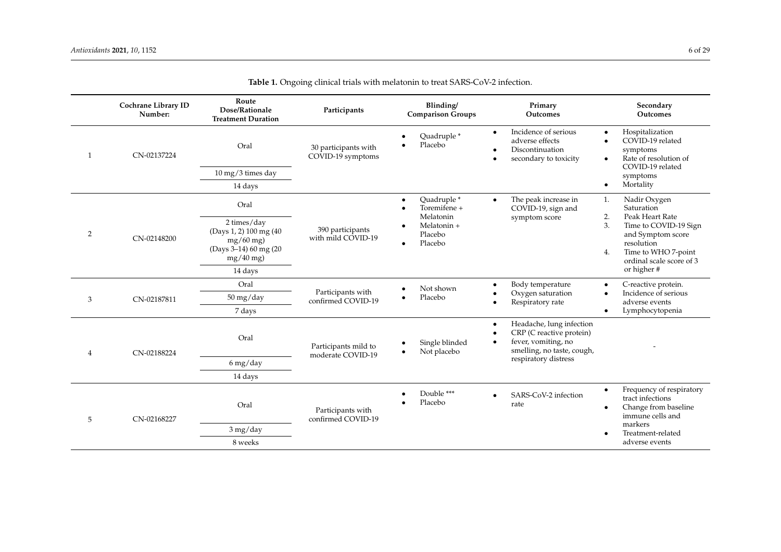<span id="page-5-0"></span>

|              | Cochrane Library ID<br>Number: | Route<br>Dose/Rationale<br><b>Treatment Duration</b>                                         | Participants                              | Blinding/<br><b>Comparison Groups</b>                                                     | Primary<br><b>Outcomes</b>                                                                                                          | Secondary<br>Outcomes                                                                                                                      |
|--------------|--------------------------------|----------------------------------------------------------------------------------------------|-------------------------------------------|-------------------------------------------------------------------------------------------|-------------------------------------------------------------------------------------------------------------------------------------|--------------------------------------------------------------------------------------------------------------------------------------------|
| $\mathbf{1}$ | CN-02137224                    | Oral                                                                                         | 30 participants with<br>COVID-19 symptoms | Quadruple*<br>Placebo                                                                     | Incidence of serious<br>$\bullet$<br>adverse effects<br>Discontinuation<br>$\bullet$<br>secondary to toxicity<br>$\bullet$          | Hospitalization<br>$\bullet$<br>COVID-19 related<br>$\bullet$<br>symptoms<br>Rate of resolution of<br>$\bullet$<br>COVID-19 related        |
|              |                                | 10 mg/3 times day                                                                            |                                           |                                                                                           |                                                                                                                                     | symptoms                                                                                                                                   |
|              |                                | 14 days                                                                                      |                                           |                                                                                           |                                                                                                                                     | Mortality<br>$\bullet$                                                                                                                     |
| 2            | CN-02148200                    | Oral                                                                                         | 390 participants<br>with mild COVID-19    | Quadruple*<br>Toremifene +<br>Melatonin<br>Melatonin +<br>Placebo<br>Placebo<br>$\bullet$ | The peak increase in<br>$\bullet$<br>COVID-19, sign and                                                                             | Nadir Oxygen<br>1.<br>Saturation<br>2.                                                                                                     |
|              |                                | 2 times/day<br>(Days 1, 2) 100 mg (40<br>$mg/60$ mg)<br>(Days 3-14) 60 mg (20<br>$mg/40$ mg) |                                           |                                                                                           | symptom score                                                                                                                       | Peak Heart Rate<br>3.<br>Time to COVID-19 Sign<br>and Symptom score<br>resolution<br>Time to WHO 7-point<br>4.<br>ordinal scale score of 3 |
|              |                                | 14 days                                                                                      |                                           |                                                                                           |                                                                                                                                     | or higher #                                                                                                                                |
| 3            | CN-02187811                    | Oral                                                                                         | Participants with<br>confirmed COVID-19   | Not shown<br>$\bullet$<br>Placebo                                                         | Body temperature<br>$\bullet$                                                                                                       | C-reactive protein.<br>$\bullet$                                                                                                           |
|              |                                | 50 mg/day                                                                                    |                                           |                                                                                           | Oxygen saturation<br>Respiratory rate                                                                                               | Incidence of serious<br>$\bullet$<br>adverse events                                                                                        |
|              |                                | 7 days                                                                                       |                                           |                                                                                           |                                                                                                                                     | Lymphocytopenia<br>$\bullet$                                                                                                               |
| 4            | CN-02188224                    | Oral                                                                                         | Participants mild to<br>moderate COVID-19 | Single blinded<br>Not placebo<br>$\bullet$                                                | Headache, lung infection<br>$\bullet$<br>CRP (C reactive protein)<br>$\bullet$<br>fever, vomiting, no<br>smelling, no taste, cough, |                                                                                                                                            |
|              |                                | 6 mg/day                                                                                     |                                           |                                                                                           | respiratory distress                                                                                                                |                                                                                                                                            |
|              |                                | 14 days                                                                                      |                                           |                                                                                           |                                                                                                                                     |                                                                                                                                            |
| 5            | CN-02168227                    | Oral                                                                                         | Participants with<br>confirmed COVID-19   | Double ***<br>Placebo                                                                     | SARS-CoV-2 infection<br>$\bullet$<br>rate                                                                                           | Frequency of respiratory<br>$\bullet$<br>tract infections<br>Change from baseline<br>$\bullet$<br>immune cells and                         |
|              |                                | 3 mg/day                                                                                     |                                           |                                                                                           |                                                                                                                                     | markers<br>Treatment-related                                                                                                               |
|              |                                | 8 weeks                                                                                      |                                           |                                                                                           |                                                                                                                                     | adverse events                                                                                                                             |

**Table 1.** Ongoing clinical trials with melatonin to treat SARS-CoV-2 infection.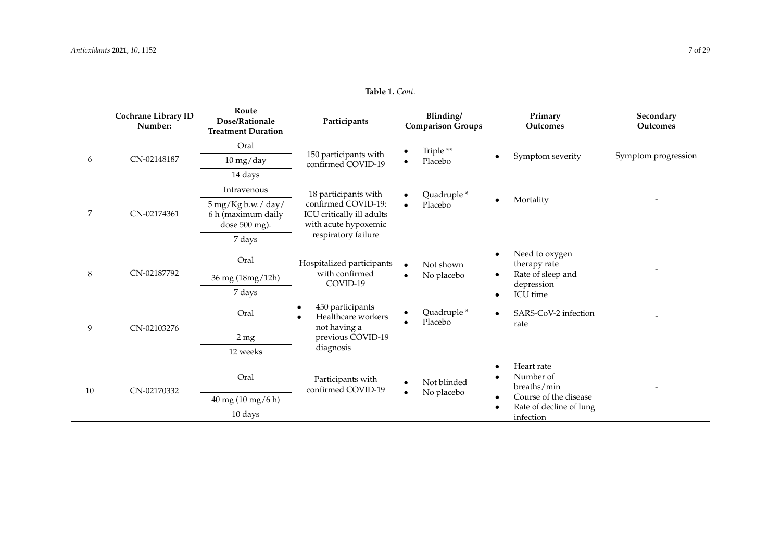|         | Cochrane Library ID<br>Number: | Route<br>Dose/Rationale<br><b>Treatment Duration</b>      | Participants                                                                                                            | Blinding/<br><b>Comparison Groups</b> | Primary<br><b>Outcomes</b>                                    | Secondary<br><b>Outcomes</b> |
|---------|--------------------------------|-----------------------------------------------------------|-------------------------------------------------------------------------------------------------------------------------|---------------------------------------|---------------------------------------------------------------|------------------------------|
| 6       | CN-02148187                    | Oral                                                      | 150 participants with<br>confirmed COVID-19                                                                             | Triple**<br>Placebo                   |                                                               | Symptom progression          |
|         |                                | $10$ mg/day                                               |                                                                                                                         |                                       | Symptom severity                                              |                              |
|         |                                | 14 days                                                   |                                                                                                                         |                                       |                                                               |                              |
| 7       | CN-02174361                    | Intravenous                                               | 18 participants with<br>confirmed COVID-19:<br>ICU critically ill adults<br>with acute hypoxemic<br>respiratory failure | Quadruple*<br>Placebo                 |                                                               |                              |
|         |                                | 5 mg/Kg b.w./ day/<br>6 h (maximum daily<br>dose 500 mg). |                                                                                                                         |                                       | Mortality                                                     |                              |
|         |                                | 7 days                                                    |                                                                                                                         |                                       |                                                               |                              |
| $\,8\,$ | CN-02187792                    | Oral                                                      | Hospitalized participants<br>with confirmed<br>COVID-19                                                                 | Not shown<br>No placebo<br>$\bullet$  | Need to oxygen<br>$\bullet$<br>therapy rate                   |                              |
|         |                                | 36 mg (18mg/12h)                                          |                                                                                                                         |                                       | Rate of sleep and<br>$\bullet$<br>depression                  |                              |
|         |                                | 7 days                                                    |                                                                                                                         |                                       | ICU time                                                      |                              |
| 9       | CN-02103276                    | Oral                                                      | 450 participants<br>Healthcare workers<br>not having a<br>previous COVID-19<br>diagnosis                                | Quadruple*<br>Placebo                 | SARS-CoV-2 infection<br>rate                                  |                              |
|         |                                | 2 <sub>mg</sub>                                           |                                                                                                                         |                                       |                                                               |                              |
|         |                                | 12 weeks                                                  |                                                                                                                         |                                       |                                                               |                              |
| 10      | CN-02170332                    | Oral                                                      | Participants with<br>confirmed COVID-19                                                                                 | Not blinded<br>No placebo             | Heart rate<br>Number of<br>breaths/min                        |                              |
|         |                                | 40 mg (10 mg/6 h)                                         |                                                                                                                         |                                       | Course of the disease<br>Rate of decline of lung<br>infection |                              |
|         |                                | 10 days                                                   |                                                                                                                         |                                       |                                                               |                              |

**Table 1.** *Cont.*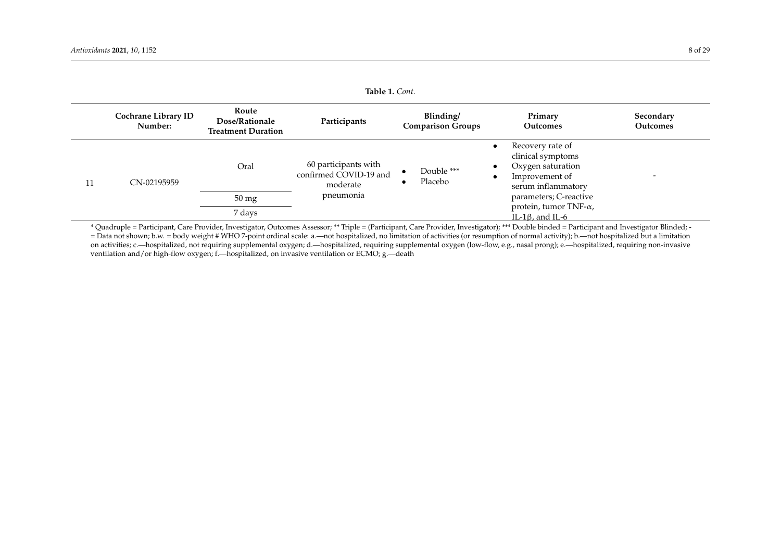|    | Cochrane Library ID<br>Number: | Route<br>Dose/Rationale<br><b>Treatment Duration</b> | Participants                                                            | Blinding/<br><b>Comparison Groups</b> | Primary<br><b>Outcomes</b>                                                                                                                                                                                                       | Secondary<br>Outcomes |
|----|--------------------------------|------------------------------------------------------|-------------------------------------------------------------------------|---------------------------------------|----------------------------------------------------------------------------------------------------------------------------------------------------------------------------------------------------------------------------------|-----------------------|
| 11 | CN-02195959                    | Oral                                                 | 60 participants with<br>confirmed COVID-19 and<br>moderate<br>pneumonia | Double ***<br>Placebo                 | Recovery rate of<br>$\bullet$<br>clinical symptoms<br>Oxygen saturation<br>$\bullet$<br>Improvement of<br>$\bullet$<br>serum inflammatory<br>parameters; C-reactive<br>protein, tumor TNF- $\alpha$ ,<br>IL-1 $\beta$ , and IL-6 |                       |
|    |                                | $50 \,\mathrm{mg}$                                   |                                                                         |                                       |                                                                                                                                                                                                                                  |                       |
|    |                                | 7 days                                               |                                                                         |                                       |                                                                                                                                                                                                                                  |                       |

\* Quadruple = Participant, Care Provider, Investigator, Outcomes Assessor; \*\* Triple = (Participant, Care Provider, Investigator); \*\*\* Double binded = Participant and Investigator Blinded; - = Data not shown; b.w. = body weight # WHO 7-point ordinal scale: a.—not hospitalized, no limitation of activities (or resumption of normal activity); b.—not hospitalized but a limitation on activities; c.—hospitalized, not requiring supplemental oxygen; d.—hospitalized, requiring supplemental oxygen (low-flow, e.g., nasal prong); e.—hospitalized, requiring non-invasive ventilation and/or high-flow oxygen; f.—hospitalized, on invasive ventilation or ECMO; g.—death

**Table 1.** *Cont.*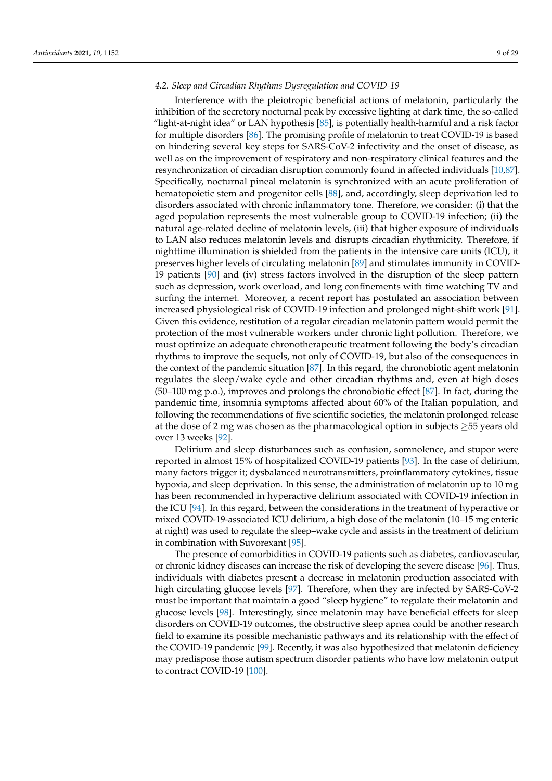## *4.2. Sleep and Circadian Rhythms Dysregulation and COVID-19*

Interference with the pleiotropic beneficial actions of melatonin, particularly the inhibition of the secretory nocturnal peak by excessive lighting at dark time, the so-called "light-at-night idea" or LAN hypothesis [\[85\]](#page-23-12), is potentially health-harmful and a risk factor for multiple disorders [\[86\]](#page-23-13). The promising profile of melatonin to treat COVID-19 is based on hindering several key steps for SARS-CoV-2 infectivity and the onset of disease, as well as on the improvement of respiratory and non-respiratory clinical features and the resynchronization of circadian disruption commonly found in affected individuals [\[10](#page-20-5)[,87\]](#page-23-14). Specifically, nocturnal pineal melatonin is synchronized with an acute proliferation of hematopoietic stem and progenitor cells [\[88\]](#page-23-15), and, accordingly, sleep deprivation led to disorders associated with chronic inflammatory tone. Therefore, we consider: (i) that the aged population represents the most vulnerable group to COVID-19 infection; (ii) the natural age-related decline of melatonin levels, (iii) that higher exposure of individuals to LAN also reduces melatonin levels and disrupts circadian rhythmicity. Therefore, if nighttime illumination is shielded from the patients in the intensive care units (ICU), it preserves higher levels of circulating melatonin [\[89\]](#page-23-16) and stimulates immunity in COVID-19 patients [\[90\]](#page-23-17) and (iv) stress factors involved in the disruption of the sleep pattern such as depression, work overload, and long confinements with time watching TV and surfing the internet. Moreover, a recent report has postulated an association between increased physiological risk of COVID-19 infection and prolonged night-shift work [\[91\]](#page-23-18). Given this evidence, restitution of a regular circadian melatonin pattern would permit the protection of the most vulnerable workers under chronic light pollution. Therefore, we must optimize an adequate chronotherapeutic treatment following the body's circadian rhythms to improve the sequels, not only of COVID-19, but also of the consequences in the context of the pandemic situation [\[87\]](#page-23-14). In this regard, the chronobiotic agent melatonin regulates the sleep/wake cycle and other circadian rhythms and, even at high doses (50–100 mg p.o.), improves and prolongs the chronobiotic effect [\[87\]](#page-23-14). In fact, during the pandemic time, insomnia symptoms affected about 60% of the Italian population, and following the recommendations of five scientific societies, the melatonin prolonged release at the dose of 2 mg was chosen as the pharmacological option in subjects ≥55 years old over 13 weeks [\[92\]](#page-23-19).

Delirium and sleep disturbances such as confusion, somnolence, and stupor were reported in almost 15% of hospitalized COVID-19 patients [\[93\]](#page-23-20). In the case of delirium, many factors trigger it; dysbalanced neurotransmitters, proinflammatory cytokines, tissue hypoxia, and sleep deprivation. In this sense, the administration of melatonin up to 10 mg has been recommended in hyperactive delirium associated with COVID-19 infection in the ICU [\[94\]](#page-24-0). In this regard, between the considerations in the treatment of hyperactive or mixed COVID-19-associated ICU delirium, a high dose of the melatonin (10–15 mg enteric at night) was used to regulate the sleep–wake cycle and assists in the treatment of delirium in combination with Suvorexant [\[95\]](#page-24-1).

The presence of comorbidities in COVID-19 patients such as diabetes, cardiovascular, or chronic kidney diseases can increase the risk of developing the severe disease [\[96\]](#page-24-2). Thus, individuals with diabetes present a decrease in melatonin production associated with high circulating glucose levels [\[97\]](#page-24-3). Therefore, when they are infected by SARS-CoV-2 must be important that maintain a good "sleep hygiene" to regulate their melatonin and glucose levels [\[98\]](#page-24-4). Interestingly, since melatonin may have beneficial effects for sleep disorders on COVID-19 outcomes, the obstructive sleep apnea could be another research field to examine its possible mechanistic pathways and its relationship with the effect of the COVID-19 pandemic [\[99\]](#page-24-5). Recently, it was also hypothesized that melatonin deficiency may predispose those autism spectrum disorder patients who have low melatonin output to contract COVID-19 [\[100\]](#page-24-6).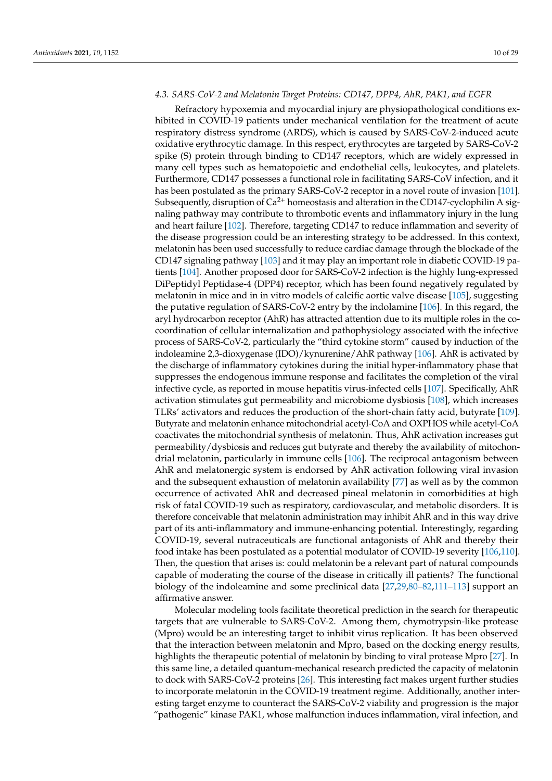# *4.3. SARS-CoV-2 and Melatonin Target Proteins: CD147, DPP4, AhR, PAK1, and EGFR*

Refractory hypoxemia and myocardial injury are physiopathological conditions exhibited in COVID-19 patients under mechanical ventilation for the treatment of acute respiratory distress syndrome (ARDS), which is caused by SARS-CoV-2-induced acute oxidative erythrocytic damage. In this respect, erythrocytes are targeted by SARS-CoV-2 spike (S) protein through binding to CD147 receptors, which are widely expressed in many cell types such as hematopoietic and endothelial cells, leukocytes, and platelets. Furthermore, CD147 possesses a functional role in facilitating SARS-CoV infection, and it has been postulated as the primary SARS-CoV-2 receptor in a novel route of invasion [\[101\]](#page-24-7). Subsequently, disruption of  $Ca^{2+}$  homeostasis and alteration in the CD147-cyclophilin A signaling pathway may contribute to thrombotic events and inflammatory injury in the lung and heart failure [\[102\]](#page-24-8). Therefore, targeting CD147 to reduce inflammation and severity of the disease progression could be an interesting strategy to be addressed. In this context, melatonin has been used successfully to reduce cardiac damage through the blockade of the CD147 signaling pathway [\[103\]](#page-24-9) and it may play an important role in diabetic COVID-19 patients [\[104\]](#page-24-10). Another proposed door for SARS-CoV-2 infection is the highly lung-expressed DiPeptidyl Peptidase-4 (DPP4) receptor, which has been found negatively regulated by melatonin in mice and in in vitro models of calcific aortic valve disease [\[105\]](#page-24-11), suggesting the putative regulation of SARS-CoV-2 entry by the indolamine [\[106\]](#page-24-12). In this regard, the aryl hydrocarbon receptor (AhR) has attracted attention due to its multiple roles in the cocoordination of cellular internalization and pathophysiology associated with the infective process of SARS-CoV-2, particularly the "third cytokine storm" caused by induction of the indoleamine 2,3-dioxygenase (IDO)/kynurenine/AhR pathway [\[106\]](#page-24-12). AhR is activated by the discharge of inflammatory cytokines during the initial hyper-inflammatory phase that suppresses the endogenous immune response and facilitates the completion of the viral infective cycle, as reported in mouse hepatitis virus-infected cells [\[107\]](#page-24-13). Specifically, AhR activation stimulates gut permeability and microbiome dysbiosis [\[108\]](#page-24-14), which increases TLRs' activators and reduces the production of the short-chain fatty acid, butyrate [\[109\]](#page-24-15). Butyrate and melatonin enhance mitochondrial acetyl-CoA and OXPHOS while acetyl-CoA coactivates the mitochondrial synthesis of melatonin. Thus, AhR activation increases gut permeability/dysbiosis and reduces gut butyrate and thereby the availability of mitochondrial melatonin, particularly in immune cells [\[106\]](#page-24-12). The reciprocal antagonism between AhR and melatonergic system is endorsed by AhR activation following viral invasion and the subsequent exhaustion of melatonin availability [\[77\]](#page-23-4) as well as by the common occurrence of activated AhR and decreased pineal melatonin in comorbidities at high risk of fatal COVID-19 such as respiratory, cardiovascular, and metabolic disorders. It is therefore conceivable that melatonin administration may inhibit AhR and in this way drive part of its anti-inflammatory and immune-enhancing potential. Interestingly, regarding COVID-19, several nutraceuticals are functional antagonists of AhR and thereby their food intake has been postulated as a potential modulator of COVID-19 severity [\[106,](#page-24-12)[110\]](#page-24-16). Then, the question that arises is: could melatonin be a relevant part of natural compounds capable of moderating the course of the disease in critically ill patients? The functional biology of the indoleamine and some preclinical data [\[27,](#page-21-12)[29,](#page-21-14)[80–](#page-23-7)[82,](#page-23-9)[111](#page-24-17)[–113\]](#page-24-18) support an affirmative answer.

Molecular modeling tools facilitate theoretical prediction in the search for therapeutic targets that are vulnerable to SARS-CoV-2. Among them, chymotrypsin-like protease (Mpro) would be an interesting target to inhibit virus replication. It has been observed that the interaction between melatonin and Mpro, based on the docking energy results, highlights the therapeutic potential of melatonin by binding to viral protease Mpro [\[27\]](#page-21-12). In this same line, a detailed quantum-mechanical research predicted the capacity of melatonin to dock with SARS-CoV-2 proteins [\[26\]](#page-21-11). This interesting fact makes urgent further studies to incorporate melatonin in the COVID-19 treatment regime. Additionally, another interesting target enzyme to counteract the SARS-CoV-2 viability and progression is the major "pathogenic" kinase PAK1, whose malfunction induces inflammation, viral infection, and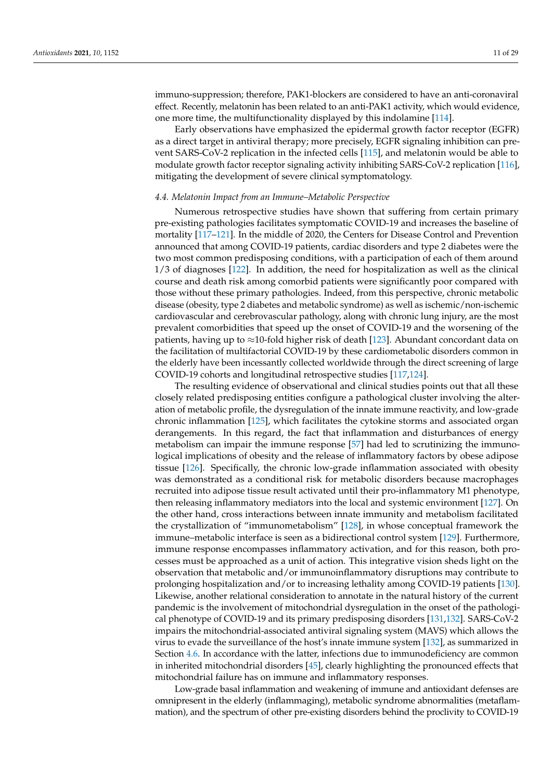immuno-suppression; therefore, PAK1-blockers are considered to have an anti-coronaviral effect. Recently, melatonin has been related to an anti-PAK1 activity, which would evidence, one more time, the multifunctionality displayed by this indolamine [\[114\]](#page-24-19).

Early observations have emphasized the epidermal growth factor receptor (EGFR) as a direct target in antiviral therapy; more precisely, EGFR signaling inhibition can prevent SARS-CoV-2 replication in the infected cells [\[115\]](#page-24-20), and melatonin would be able to modulate growth factor receptor signaling activity inhibiting SARS-CoV-2 replication [\[116\]](#page-24-21), mitigating the development of severe clinical symptomatology.

## *4.4. Melatonin Impact from an Immune–Metabolic Perspective*

Numerous retrospective studies have shown that suffering from certain primary pre-existing pathologies facilitates symptomatic COVID-19 and increases the baseline of mortality [\[117](#page-24-22)[–121\]](#page-24-23). In the middle of 2020, the Centers for Disease Control and Prevention announced that among COVID-19 patients, cardiac disorders and type 2 diabetes were the two most common predisposing conditions, with a participation of each of them around 1/3 of diagnoses [\[122\]](#page-25-0). In addition, the need for hospitalization as well as the clinical course and death risk among comorbid patients were significantly poor compared with those without these primary pathologies. Indeed, from this perspective, chronic metabolic disease (obesity, type 2 diabetes and metabolic syndrome) as well as ischemic/non-ischemic cardiovascular and cerebrovascular pathology, along with chronic lung injury, are the most prevalent comorbidities that speed up the onset of COVID-19 and the worsening of the patients, having up to  $\approx$ 10-fold higher risk of death [\[123\]](#page-25-1). Abundant concordant data on the facilitation of multifactorial COVID-19 by these cardiometabolic disorders common in the elderly have been incessantly collected worldwide through the direct screening of large COVID-19 cohorts and longitudinal retrospective studies [\[117,](#page-24-22)[124\]](#page-25-2).

The resulting evidence of observational and clinical studies points out that all these closely related predisposing entities configure a pathological cluster involving the alteration of metabolic profile, the dysregulation of the innate immune reactivity, and low-grade chronic inflammation [\[125\]](#page-25-3), which facilitates the cytokine storms and associated organ derangements. In this regard, the fact that inflammation and disturbances of energy metabolism can impair the immune response [\[57\]](#page-22-15) had led to scrutinizing the immunological implications of obesity and the release of inflammatory factors by obese adipose tissue [\[126\]](#page-25-4). Specifically, the chronic low-grade inflammation associated with obesity was demonstrated as a conditional risk for metabolic disorders because macrophages recruited into adipose tissue result activated until their pro-inflammatory M1 phenotype, then releasing inflammatory mediators into the local and systemic environment [\[127\]](#page-25-5). On the other hand, cross interactions between innate immunity and metabolism facilitated the crystallization of "immunometabolism" [\[128\]](#page-25-6), in whose conceptual framework the immune–metabolic interface is seen as a bidirectional control system [\[129\]](#page-25-7). Furthermore, immune response encompasses inflammatory activation, and for this reason, both processes must be approached as a unit of action. This integrative vision sheds light on the observation that metabolic and/or immunoinflammatory disruptions may contribute to prolonging hospitalization and/or to increasing lethality among COVID-19 patients [\[130\]](#page-25-8). Likewise, another relational consideration to annotate in the natural history of the current pandemic is the involvement of mitochondrial dysregulation in the onset of the pathological phenotype of COVID-19 and its primary predisposing disorders [\[131](#page-25-9)[,132\]](#page-25-10). SARS-CoV-2 impairs the mitochondrial-associated antiviral signaling system (MAVS) which allows the virus to evade the surveillance of the host's innate immune system [\[132\]](#page-25-10), as summarized in Section [4.6.](#page-14-0) In accordance with the latter, infections due to immunodeficiency are common in inherited mitochondrial disorders [\[45\]](#page-22-3), clearly highlighting the pronounced effects that mitochondrial failure has on immune and inflammatory responses.

Low-grade basal inflammation and weakening of immune and antioxidant defenses are omnipresent in the elderly (inflammaging), metabolic syndrome abnormalities (metaflammation), and the spectrum of other pre-existing disorders behind the proclivity to COVID-19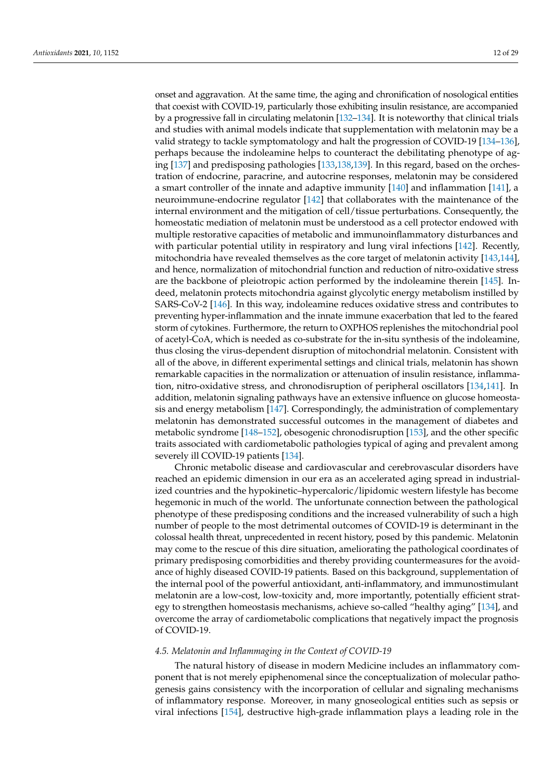onset and aggravation. At the same time, the aging and chronification of nosological entities that coexist with COVID-19, particularly those exhibiting insulin resistance, are accompanied by a progressive fall in circulating melatonin [\[132](#page-25-10)[–134\]](#page-25-11). It is noteworthy that clinical trials and studies with animal models indicate that supplementation with melatonin may be a valid strategy to tackle symptomatology and halt the progression of COVID-19 [\[134–](#page-25-11)[136\]](#page-25-12), perhaps because the indoleamine helps to counteract the debilitating phenotype of aging [\[137\]](#page-25-13) and predisposing pathologies [\[133](#page-25-14)[,138](#page-25-15)[,139\]](#page-25-16). In this regard, based on the orchestration of endocrine, paracrine, and autocrine responses, melatonin may be considered a smart controller of the innate and adaptive immunity [\[140\]](#page-25-17) and inflammation [\[141\]](#page-25-18), a neuroimmune-endocrine regulator [\[142\]](#page-25-19) that collaborates with the maintenance of the internal environment and the mitigation of cell/tissue perturbations. Consequently, the homeostatic mediation of melatonin must be understood as a cell protector endowed with multiple restorative capacities of metabolic and immunoinflammatory disturbances and with particular potential utility in respiratory and lung viral infections [\[142\]](#page-25-19). Recently, mitochondria have revealed themselves as the core target of melatonin activity [\[143,](#page-25-20)[144\]](#page-25-21), and hence, normalization of mitochondrial function and reduction of nitro-oxidative stress are the backbone of pleiotropic action performed by the indoleamine therein [\[145\]](#page-25-22). Indeed, melatonin protects mitochondria against glycolytic energy metabolism instilled by SARS-CoV-2 [\[146\]](#page-25-23). In this way, indoleamine reduces oxidative stress and contributes to preventing hyper-inflammation and the innate immune exacerbation that led to the feared storm of cytokines. Furthermore, the return to OXPHOS replenishes the mitochondrial pool of acetyl-CoA, which is needed as co-substrate for the in-situ synthesis of the indoleamine, thus closing the virus-dependent disruption of mitochondrial melatonin. Consistent with all of the above, in different experimental settings and clinical trials, melatonin has shown remarkable capacities in the normalization or attenuation of insulin resistance, inflammation, nitro-oxidative stress, and chronodisruption of peripheral oscillators [\[134](#page-25-11)[,141\]](#page-25-18). In addition, melatonin signaling pathways have an extensive influence on glucose homeostasis and energy metabolism [\[147\]](#page-25-24). Correspondingly, the administration of complementary melatonin has demonstrated successful outcomes in the management of diabetes and metabolic syndrome [\[148](#page-25-25)[–152\]](#page-26-0), obesogenic chronodisruption [\[153\]](#page-26-1), and the other specific traits associated with cardiometabolic pathologies typical of aging and prevalent among severely ill COVID-19 patients [\[134\]](#page-25-11).

Chronic metabolic disease and cardiovascular and cerebrovascular disorders have reached an epidemic dimension in our era as an accelerated aging spread in industrialized countries and the hypokinetic–hypercaloric/lipidomic western lifestyle has become hegemonic in much of the world. The unfortunate connection between the pathological phenotype of these predisposing conditions and the increased vulnerability of such a high number of people to the most detrimental outcomes of COVID-19 is determinant in the colossal health threat, unprecedented in recent history, posed by this pandemic. Melatonin may come to the rescue of this dire situation, ameliorating the pathological coordinates of primary predisposing comorbidities and thereby providing countermeasures for the avoidance of highly diseased COVID-19 patients. Based on this background, supplementation of the internal pool of the powerful antioxidant, anti-inflammatory, and immunostimulant melatonin are a low-cost, low-toxicity and, more importantly, potentially efficient strategy to strengthen homeostasis mechanisms, achieve so-called "healthy aging" [\[134\]](#page-25-11), and overcome the array of cardiometabolic complications that negatively impact the prognosis of COVID-19.

## *4.5. Melatonin and Inflammaging in the Context of COVID-19*

The natural history of disease in modern Medicine includes an inflammatory component that is not merely epiphenomenal since the conceptualization of molecular pathogenesis gains consistency with the incorporation of cellular and signaling mechanisms of inflammatory response. Moreover, in many gnoseological entities such as sepsis or viral infections [\[154\]](#page-26-2), destructive high-grade inflammation plays a leading role in the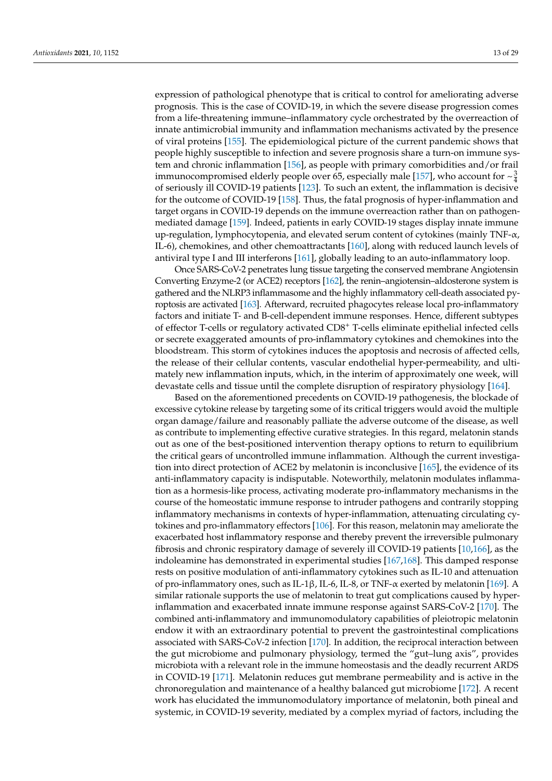expression of pathological phenotype that is critical to control for ameliorating adverse prognosis. This is the case of COVID-19, in which the severe disease progression comes from a life-threatening immune–inflammatory cycle orchestrated by the overreaction of innate antimicrobial immunity and inflammation mechanisms activated by the presence of viral proteins [\[155\]](#page-26-3). The epidemiological picture of the current pandemic shows that people highly susceptible to infection and severe prognosis share a turn-on immune system and chronic inflammation [\[156\]](#page-26-4), as people with primary comorbidities and/or frail immunocompromised elderly people over 65, especially male [\[157\]](#page-26-5), who account for  $\sim \frac{3}{4}$ of seriously ill COVID-19 patients [\[123\]](#page-25-1). To such an extent, the inflammation is decisive for the outcome of COVID-19 [\[158\]](#page-26-6). Thus, the fatal prognosis of hyper-inflammation and target organs in COVID-19 depends on the immune overreaction rather than on pathogenmediated damage [\[159\]](#page-26-7). Indeed, patients in early COVID-19 stages display innate immune up-regulation, lymphocytopenia, and elevated serum content of cytokines (mainly  $TNF-\alpha$ , IL-6), chemokines, and other chemoattractants [\[160\]](#page-26-8), along with reduced launch levels of antiviral type I and III interferons [\[161\]](#page-26-9), globally leading to an auto-inflammatory loop.

Once SARS-CoV-2 penetrates lung tissue targeting the conserved membrane Angiotensin Converting Enzyme-2 (or ACE2) receptors [\[162\]](#page-26-10), the renin–angiotensin–aldosterone system is gathered and the NLRP3 inflammasome and the highly inflammatory cell-death associated pyroptosis are activated [\[163\]](#page-26-11). Afterward, recruited phagocytes release local pro-inflammatory factors and initiate T- and B-cell-dependent immune responses. Hence, different subtypes of effector T-cells or regulatory activated CD8<sup>+</sup> T-cells eliminate epithelial infected cells or secrete exaggerated amounts of pro-inflammatory cytokines and chemokines into the bloodstream. This storm of cytokines induces the apoptosis and necrosis of affected cells, the release of their cellular contents, vascular endothelial hyper-permeability, and ultimately new inflammation inputs, which, in the interim of approximately one week, will devastate cells and tissue until the complete disruption of respiratory physiology [\[164\]](#page-26-12).

Based on the aforementioned precedents on COVID-19 pathogenesis, the blockade of excessive cytokine release by targeting some of its critical triggers would avoid the multiple organ damage/failure and reasonably palliate the adverse outcome of the disease, as well as contribute to implementing effective curative strategies. In this regard, melatonin stands out as one of the best-positioned intervention therapy options to return to equilibrium the critical gears of uncontrolled immune inflammation. Although the current investigation into direct protection of ACE2 by melatonin is inconclusive [\[165\]](#page-26-13), the evidence of its anti-inflammatory capacity is indisputable. Noteworthily, melatonin modulates inflammation as a hormesis-like process, activating moderate pro-inflammatory mechanisms in the course of the homeostatic immune response to intruder pathogens and contrarily stopping inflammatory mechanisms in contexts of hyper-inflammation, attenuating circulating cytokines and pro-inflammatory effectors [\[106\]](#page-24-12). For this reason, melatonin may ameliorate the exacerbated host inflammatory response and thereby prevent the irreversible pulmonary fibrosis and chronic respiratory damage of severely ill COVID-19 patients [\[10](#page-20-5)[,166\]](#page-26-14), as the indoleamine has demonstrated in experimental studies [\[167](#page-26-15)[,168\]](#page-26-16). This damped response rests on positive modulation of anti-inflammatory cytokines such as IL-10 and attenuation of pro-inflammatory ones, such as IL-1β, IL-6, IL-8, or TNF-α exerted by melatonin [\[169\]](#page-26-17). A similar rationale supports the use of melatonin to treat gut complications caused by hyperinflammation and exacerbated innate immune response against SARS-CoV-2 [\[170\]](#page-26-18). The combined anti-inflammatory and immunomodulatory capabilities of pleiotropic melatonin endow it with an extraordinary potential to prevent the gastrointestinal complications associated with SARS-CoV-2 infection [\[170\]](#page-26-18). In addition, the reciprocal interaction between the gut microbiome and pulmonary physiology, termed the "gut–lung axis", provides microbiota with a relevant role in the immune homeostasis and the deadly recurrent ARDS in COVID-19 [\[171\]](#page-26-19). Melatonin reduces gut membrane permeability and is active in the chronoregulation and maintenance of a healthy balanced gut microbiome [\[172\]](#page-26-20). A recent work has elucidated the immunomodulatory importance of melatonin, both pineal and systemic, in COVID-19 severity, mediated by a complex myriad of factors, including the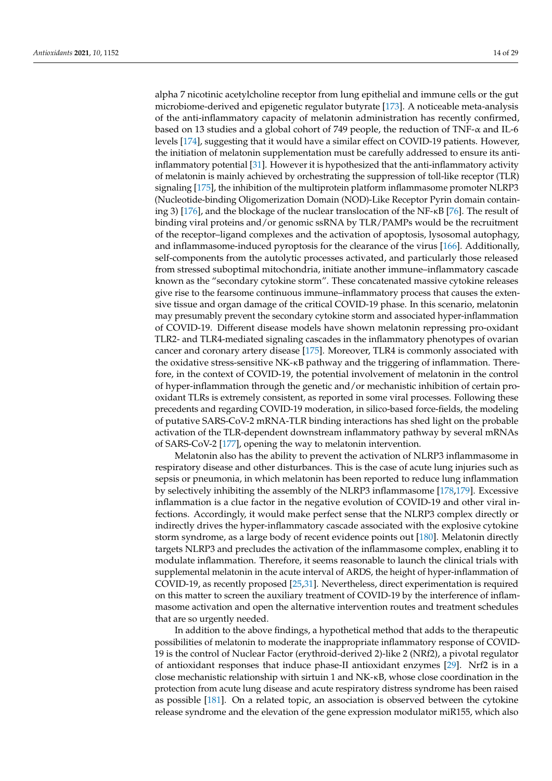alpha 7 nicotinic acetylcholine receptor from lung epithelial and immune cells or the gut microbiome-derived and epigenetic regulator butyrate [\[173\]](#page-26-21). A noticeable meta-analysis of the anti-inflammatory capacity of melatonin administration has recently confirmed, based on 13 studies and a global cohort of 749 people, the reduction of TNF-α and IL-6 levels [\[174\]](#page-26-22), suggesting that it would have a similar effect on COVID-19 patients. However, the initiation of melatonin supplementation must be carefully addressed to ensure its antiinflammatory potential [\[31\]](#page-21-26). However it is hypothesized that the anti-inflammatory activity of melatonin is mainly achieved by orchestrating the suppression of toll-like receptor (TLR) signaling [\[175\]](#page-26-23), the inhibition of the multiprotein platform inflammasome promoter NLRP3 (Nucleotide-binding Oligomerization Domain (NOD)-Like Receptor Pyrin domain containing 3) [\[176\]](#page-26-24), and the blockage of the nuclear translocation of the NF-κB [\[76\]](#page-23-3). The result of binding viral proteins and/or genomic ssRNA by TLR/PAMPs would be the recruitment of the receptor–ligand complexes and the activation of apoptosis, lysosomal autophagy, and inflammasome-induced pyroptosis for the clearance of the virus [\[166\]](#page-26-14). Additionally, self-components from the autolytic processes activated, and particularly those released from stressed suboptimal mitochondria, initiate another immune–inflammatory cascade known as the "secondary cytokine storm". These concatenated massive cytokine releases give rise to the fearsome continuous immune–inflammatory process that causes the extensive tissue and organ damage of the critical COVID-19 phase. In this scenario, melatonin may presumably prevent the secondary cytokine storm and associated hyper-inflammation of COVID-19. Different disease models have shown melatonin repressing pro-oxidant TLR2- and TLR4-mediated signaling cascades in the inflammatory phenotypes of ovarian cancer and coronary artery disease [\[175\]](#page-26-23). Moreover, TLR4 is commonly associated with the oxidative stress-sensitive NK-κB pathway and the triggering of inflammation. Therefore, in the context of COVID-19, the potential involvement of melatonin in the control of hyper-inflammation through the genetic and/or mechanistic inhibition of certain prooxidant TLRs is extremely consistent, as reported in some viral processes. Following these precedents and regarding COVID-19 moderation, in silico-based force-fields, the modeling of putative SARS-CoV-2 mRNA-TLR binding interactions has shed light on the probable activation of the TLR-dependent downstream inflammatory pathway by several mRNAs of SARS-CoV-2 [\[177\]](#page-26-25), opening the way to melatonin intervention.

Melatonin also has the ability to prevent the activation of NLRP3 inflammasome in respiratory disease and other disturbances. This is the case of acute lung injuries such as sepsis or pneumonia, in which melatonin has been reported to reduce lung inflammation by selectively inhibiting the assembly of the NLRP3 inflammasome [\[178,](#page-27-0)[179\]](#page-27-1). Excessive inflammation is a clue factor in the negative evolution of COVID-19 and other viral infections. Accordingly, it would make perfect sense that the NLRP3 complex directly or indirectly drives the hyper-inflammatory cascade associated with the explosive cytokine storm syndrome, as a large body of recent evidence points out [\[180\]](#page-27-2). Melatonin directly targets NLRP3 and precludes the activation of the inflammasome complex, enabling it to modulate inflammation. Therefore, it seems reasonable to launch the clinical trials with supplemental melatonin in the acute interval of ARDS, the height of hyper-inflammation of COVID-19, as recently proposed [\[25,](#page-21-10)[31\]](#page-21-26). Nevertheless, direct experimentation is required on this matter to screen the auxiliary treatment of COVID-19 by the interference of inflammasome activation and open the alternative intervention routes and treatment schedules that are so urgently needed.

In addition to the above findings, a hypothetical method that adds to the therapeutic possibilities of melatonin to moderate the inappropriate inflammatory response of COVID-19 is the control of Nuclear Factor (erythroid-derived 2)-like 2 (NRf2), a pivotal regulator of antioxidant responses that induce phase-II antioxidant enzymes [\[29\]](#page-21-14). Nrf2 is in a close mechanistic relationship with sirtuin 1 and NK-κB, whose close coordination in the protection from acute lung disease and acute respiratory distress syndrome has been raised as possible [\[181\]](#page-27-3). On a related topic, an association is observed between the cytokine release syndrome and the elevation of the gene expression modulator miR155, which also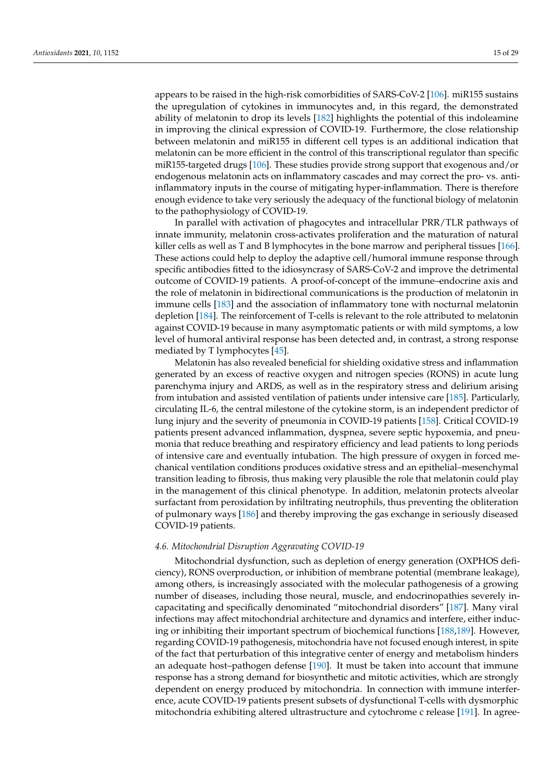appears to be raised in the high-risk comorbidities of SARS-CoV-2 [\[106\]](#page-24-12). miR155 sustains the upregulation of cytokines in immunocytes and, in this regard, the demonstrated ability of melatonin to drop its levels [\[182\]](#page-27-4) highlights the potential of this indoleamine in improving the clinical expression of COVID-19. Furthermore, the close relationship between melatonin and miR155 in different cell types is an additional indication that melatonin can be more efficient in the control of this transcriptional regulator than specific miR155-targeted drugs [\[106\]](#page-24-12). These studies provide strong support that exogenous and/or endogenous melatonin acts on inflammatory cascades and may correct the pro- vs. antiinflammatory inputs in the course of mitigating hyper-inflammation. There is therefore enough evidence to take very seriously the adequacy of the functional biology of melatonin to the pathophysiology of COVID-19.

In parallel with activation of phagocytes and intracellular PRR/TLR pathways of innate immunity, melatonin cross-activates proliferation and the maturation of natural killer cells as well as T and B lymphocytes in the bone marrow and peripheral tissues [\[166\]](#page-26-14). These actions could help to deploy the adaptive cell/humoral immune response through specific antibodies fitted to the idiosyncrasy of SARS-CoV-2 and improve the detrimental outcome of COVID-19 patients. A proof-of-concept of the immune–endocrine axis and the role of melatonin in bidirectional communications is the production of melatonin in immune cells [\[183\]](#page-27-5) and the association of inflammatory tone with nocturnal melatonin depletion [\[184\]](#page-27-6). The reinforcement of T-cells is relevant to the role attributed to melatonin against COVID-19 because in many asymptomatic patients or with mild symptoms, a low level of humoral antiviral response has been detected and, in contrast, a strong response mediated by T lymphocytes [\[45\]](#page-22-3).

Melatonin has also revealed beneficial for shielding oxidative stress and inflammation generated by an excess of reactive oxygen and nitrogen species (RONS) in acute lung parenchyma injury and ARDS, as well as in the respiratory stress and delirium arising from intubation and assisted ventilation of patients under intensive care [\[185\]](#page-27-7). Particularly, circulating IL-6, the central milestone of the cytokine storm, is an independent predictor of lung injury and the severity of pneumonia in COVID-19 patients [\[158\]](#page-26-6). Critical COVID-19 patients present advanced inflammation, dyspnea, severe septic hypoxemia, and pneumonia that reduce breathing and respiratory efficiency and lead patients to long periods of intensive care and eventually intubation. The high pressure of oxygen in forced mechanical ventilation conditions produces oxidative stress and an epithelial–mesenchymal transition leading to fibrosis, thus making very plausible the role that melatonin could play in the management of this clinical phenotype. In addition, melatonin protects alveolar surfactant from peroxidation by infiltrating neutrophils, thus preventing the obliteration of pulmonary ways [\[186\]](#page-27-8) and thereby improving the gas exchange in seriously diseased COVID-19 patients.

# <span id="page-14-0"></span>*4.6. Mitochondrial Disruption Aggravating COVID-19*

Mitochondrial dysfunction, such as depletion of energy generation (OXPHOS deficiency), RONS overproduction, or inhibition of membrane potential (membrane leakage), among others, is increasingly associated with the molecular pathogenesis of a growing number of diseases, including those neural, muscle, and endocrinopathies severely incapacitating and specifically denominated "mitochondrial disorders" [\[187\]](#page-27-9). Many viral infections may affect mitochondrial architecture and dynamics and interfere, either inducing or inhibiting their important spectrum of biochemical functions [\[188,](#page-27-10)[189\]](#page-27-11). However, regarding COVID-19 pathogenesis, mitochondria have not focused enough interest, in spite of the fact that perturbation of this integrative center of energy and metabolism hinders an adequate host–pathogen defense [\[190\]](#page-27-12). It must be taken into account that immune response has a strong demand for biosynthetic and mitotic activities, which are strongly dependent on energy produced by mitochondria. In connection with immune interference, acute COVID-19 patients present subsets of dysfunctional T-cells with dysmorphic mitochondria exhibiting altered ultrastructure and cytochrome c release [\[191\]](#page-27-13). In agree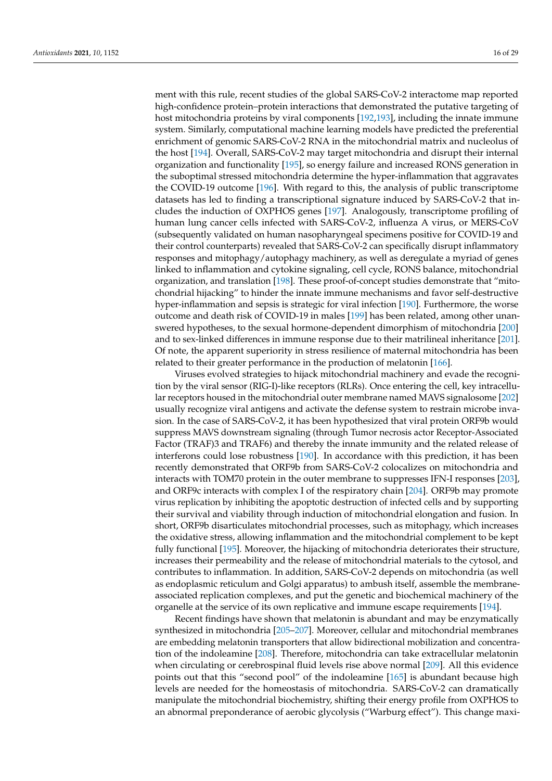ment with this rule, recent studies of the global SARS-CoV-2 interactome map reported high-confidence protein–protein interactions that demonstrated the putative targeting of host mitochondria proteins by viral components [\[192](#page-27-14)[,193\]](#page-27-15), including the innate immune system. Similarly, computational machine learning models have predicted the preferential enrichment of genomic SARS-CoV-2 RNA in the mitochondrial matrix and nucleolus of the host [\[194\]](#page-27-16). Overall, SARS-CoV-2 may target mitochondria and disrupt their internal organization and functionality [\[195\]](#page-27-17), so energy failure and increased RONS generation in the suboptimal stressed mitochondria determine the hyper-inflammation that aggravates the COVID-19 outcome [\[196\]](#page-27-18). With regard to this, the analysis of public transcriptome datasets has led to finding a transcriptional signature induced by SARS-CoV-2 that includes the induction of OXPHOS genes [\[197\]](#page-27-19). Analogously, transcriptome profiling of human lung cancer cells infected with SARS-CoV-2, influenza A virus, or MERS-CoV (subsequently validated on human nasopharyngeal specimens positive for COVID-19 and their control counterparts) revealed that SARS-CoV-2 can specifically disrupt inflammatory responses and mitophagy/autophagy machinery, as well as deregulate a myriad of genes linked to inflammation and cytokine signaling, cell cycle, RONS balance, mitochondrial organization, and translation [\[198\]](#page-27-20). These proof-of-concept studies demonstrate that "mitochondrial hijacking" to hinder the innate immune mechanisms and favor self-destructive hyper-inflammation and sepsis is strategic for viral infection [\[190\]](#page-27-12). Furthermore, the worse outcome and death risk of COVID-19 in males [\[199\]](#page-27-21) has been related, among other unanswered hypotheses, to the sexual hormone-dependent dimorphism of mitochondria [\[200\]](#page-27-22) and to sex-linked differences in immune response due to their matrilineal inheritance [\[201\]](#page-27-23). Of note, the apparent superiority in stress resilience of maternal mitochondria has been related to their greater performance in the production of melatonin [\[166\]](#page-26-14).

Viruses evolved strategies to hijack mitochondrial machinery and evade the recognition by the viral sensor (RIG-I)-like receptors (RLRs). Once entering the cell, key intracellular receptors housed in the mitochondrial outer membrane named MAVS signalosome [\[202\]](#page-27-24) usually recognize viral antigens and activate the defense system to restrain microbe invasion. In the case of SARS-CoV-2, it has been hypothesized that viral protein ORF9b would suppress MAVS downstream signaling (through Tumor necrosis actor Receptor-Associated Factor (TRAF)3 and TRAF6) and thereby the innate immunity and the related release of interferons could lose robustness [\[190\]](#page-27-12). In accordance with this prediction, it has been recently demonstrated that ORF9b from SARS-CoV-2 colocalizes on mitochondria and interacts with TOM70 protein in the outer membrane to suppresses IFN-I responses [\[203\]](#page-27-25), and ORF9c interacts with complex I of the respiratory chain [\[204\]](#page-27-26). ORF9b may promote virus replication by inhibiting the apoptotic destruction of infected cells and by supporting their survival and viability through induction of mitochondrial elongation and fusion. In short, ORF9b disarticulates mitochondrial processes, such as mitophagy, which increases the oxidative stress, allowing inflammation and the mitochondrial complement to be kept fully functional [\[195\]](#page-27-17). Moreover, the hijacking of mitochondria deteriorates their structure, increases their permeability and the release of mitochondrial materials to the cytosol, and contributes to inflammation. In addition, SARS-CoV-2 depends on mitochondria (as well as endoplasmic reticulum and Golgi apparatus) to ambush itself, assemble the membraneassociated replication complexes, and put the genetic and biochemical machinery of the organelle at the service of its own replicative and immune escape requirements [\[194\]](#page-27-16).

Recent findings have shown that melatonin is abundant and may be enzymatically synthesized in mitochondria [\[205–](#page-27-27)[207\]](#page-28-0). Moreover, cellular and mitochondrial membranes are embedding melatonin transporters that allow bidirectional mobilization and concentration of the indoleamine [\[208\]](#page-28-1). Therefore, mitochondria can take extracellular melatonin when circulating or cerebrospinal fluid levels rise above normal [\[209\]](#page-28-2). All this evidence points out that this "second pool" of the indoleamine [\[165\]](#page-26-13) is abundant because high levels are needed for the homeostasis of mitochondria. SARS-CoV-2 can dramatically manipulate the mitochondrial biochemistry, shifting their energy profile from OXPHOS to an abnormal preponderance of aerobic glycolysis ("Warburg effect"). This change maxi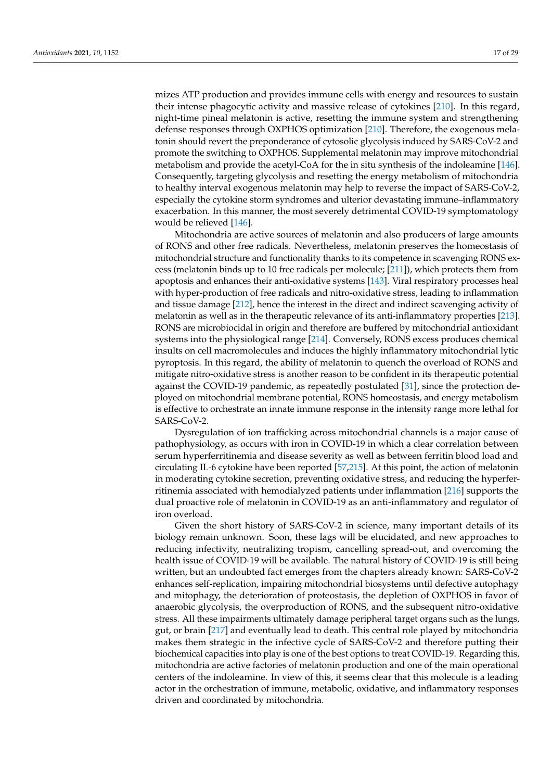mizes ATP production and provides immune cells with energy and resources to sustain their intense phagocytic activity and massive release of cytokines [\[210\]](#page-28-3). In this regard, night-time pineal melatonin is active, resetting the immune system and strengthening defense responses through OXPHOS optimization [\[210\]](#page-28-3). Therefore, the exogenous melatonin should revert the preponderance of cytosolic glycolysis induced by SARS-CoV-2 and promote the switching to OXPHOS. Supplemental melatonin may improve mitochondrial metabolism and provide the acetyl-CoA for the in situ synthesis of the indoleamine [\[146\]](#page-25-23). Consequently, targeting glycolysis and resetting the energy metabolism of mitochondria to healthy interval exogenous melatonin may help to reverse the impact of SARS-CoV-2, especially the cytokine storm syndromes and ulterior devastating immune–inflammatory exacerbation. In this manner, the most severely detrimental COVID-19 symptomatology would be relieved [\[146\]](#page-25-23).

Mitochondria are active sources of melatonin and also producers of large amounts of RONS and other free radicals. Nevertheless, melatonin preserves the homeostasis of mitochondrial structure and functionality thanks to its competence in scavenging RONS excess (melatonin binds up to 10 free radicals per molecule; [\[211\]](#page-28-4)), which protects them from apoptosis and enhances their anti-oxidative systems [\[143\]](#page-25-20). Viral respiratory processes heal with hyper-production of free radicals and nitro-oxidative stress, leading to inflammation and tissue damage [\[212\]](#page-28-5), hence the interest in the direct and indirect scavenging activity of melatonin as well as in the therapeutic relevance of its anti-inflammatory properties [\[213\]](#page-28-6). RONS are microbiocidal in origin and therefore are buffered by mitochondrial antioxidant systems into the physiological range [\[214\]](#page-28-7). Conversely, RONS excess produces chemical insults on cell macromolecules and induces the highly inflammatory mitochondrial lytic pyroptosis. In this regard, the ability of melatonin to quench the overload of RONS and mitigate nitro-oxidative stress is another reason to be confident in its therapeutic potential against the COVID-19 pandemic, as repeatedly postulated [\[31\]](#page-21-26), since the protection deployed on mitochondrial membrane potential, RONS homeostasis, and energy metabolism is effective to orchestrate an innate immune response in the intensity range more lethal for SARS-CoV-2.

Dysregulation of ion trafficking across mitochondrial channels is a major cause of pathophysiology, as occurs with iron in COVID-19 in which a clear correlation between serum hyperferritinemia and disease severity as well as between ferritin blood load and circulating IL-6 cytokine have been reported [\[57,](#page-22-15)[215\]](#page-28-8). At this point, the action of melatonin in moderating cytokine secretion, preventing oxidative stress, and reducing the hyperferritinemia associated with hemodialyzed patients under inflammation [\[216\]](#page-28-9) supports the dual proactive role of melatonin in COVID-19 as an anti-inflammatory and regulator of iron overload.

Given the short history of SARS-CoV-2 in science, many important details of its biology remain unknown. Soon, these lags will be elucidated, and new approaches to reducing infectivity, neutralizing tropism, cancelling spread-out, and overcoming the health issue of COVID-19 will be available. The natural history of COVID-19 is still being written, but an undoubted fact emerges from the chapters already known: SARS-CoV-2 enhances self-replication, impairing mitochondrial biosystems until defective autophagy and mitophagy, the deterioration of proteostasis, the depletion of OXPHOS in favor of anaerobic glycolysis, the overproduction of RONS, and the subsequent nitro-oxidative stress. All these impairments ultimately damage peripheral target organs such as the lungs, gut, or brain [\[217\]](#page-28-10) and eventually lead to death. This central role played by mitochondria makes them strategic in the infective cycle of SARS-CoV-2 and therefore putting their biochemical capacities into play is one of the best options to treat COVID-19. Regarding this, mitochondria are active factories of melatonin production and one of the main operational centers of the indoleamine. In view of this, it seems clear that this molecule is a leading actor in the orchestration of immune, metabolic, oxidative, and inflammatory responses driven and coordinated by mitochondria.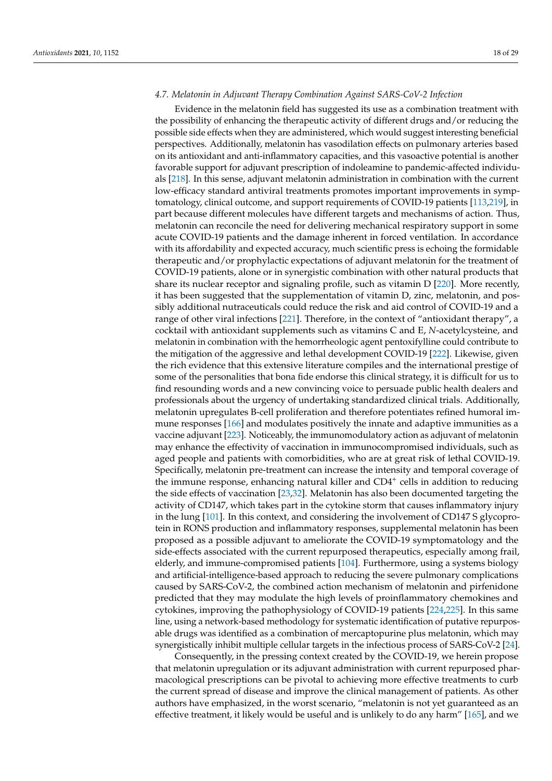# *4.7. Melatonin in Adjuvant Therapy Combination Against SARS-CoV-2 Infection*

Evidence in the melatonin field has suggested its use as a combination treatment with the possibility of enhancing the therapeutic activity of different drugs and/or reducing the possible side effects when they are administered, which would suggest interesting beneficial perspectives. Additionally, melatonin has vasodilation effects on pulmonary arteries based on its antioxidant and anti-inflammatory capacities, and this vasoactive potential is another favorable support for adjuvant prescription of indoleamine to pandemic-affected individuals [\[218\]](#page-28-11). In this sense, adjuvant melatonin administration in combination with the current low-efficacy standard antiviral treatments promotes important improvements in symptomatology, clinical outcome, and support requirements of COVID-19 patients [\[113,](#page-24-18)[219\]](#page-28-12), in part because different molecules have different targets and mechanisms of action. Thus, melatonin can reconcile the need for delivering mechanical respiratory support in some acute COVID-19 patients and the damage inherent in forced ventilation. In accordance with its affordability and expected accuracy, much scientific press is echoing the formidable therapeutic and/or prophylactic expectations of adjuvant melatonin for the treatment of COVID-19 patients, alone or in synergistic combination with other natural products that share its nuclear receptor and signaling profile, such as vitamin D [\[220\]](#page-28-13). More recently, it has been suggested that the supplementation of vitamin D, zinc, melatonin, and possibly additional nutraceuticals could reduce the risk and aid control of COVID-19 and a range of other viral infections [\[221\]](#page-28-14). Therefore, in the context of "antioxidant therapy", a cocktail with antioxidant supplements such as vitamins C and E, *N*-acetylcysteine, and melatonin in combination with the hemorrheologic agent pentoxifylline could contribute to the mitigation of the aggressive and lethal development COVID-19 [\[222\]](#page-28-15). Likewise, given the rich evidence that this extensive literature compiles and the international prestige of some of the personalities that bona fide endorse this clinical strategy, it is difficult for us to find resounding words and a new convincing voice to persuade public health dealers and professionals about the urgency of undertaking standardized clinical trials. Additionally, melatonin upregulates B-cell proliferation and therefore potentiates refined humoral immune responses [\[166\]](#page-26-14) and modulates positively the innate and adaptive immunities as a vaccine adjuvant [\[223\]](#page-28-16). Noticeably, the immunomodulatory action as adjuvant of melatonin may enhance the effectivity of vaccination in immunocompromised individuals, such as aged people and patients with comorbidities, who are at great risk of lethal COVID-19. Specifically, melatonin pre-treatment can increase the intensity and temporal coverage of the immune response, enhancing natural killer and CD4<sup>+</sup> cells in addition to reducing the side effects of vaccination [\[23,](#page-21-8)[32\]](#page-21-16). Melatonin has also been documented targeting the activity of CD147, which takes part in the cytokine storm that causes inflammatory injury in the lung [\[101\]](#page-24-7). In this context, and considering the involvement of CD147 S glycoprotein in RONS production and inflammatory responses, supplemental melatonin has been proposed as a possible adjuvant to ameliorate the COVID-19 symptomatology and the side-effects associated with the current repurposed therapeutics, especially among frail, elderly, and immune-compromised patients [\[104\]](#page-24-10). Furthermore, using a systems biology and artificial-intelligence-based approach to reducing the severe pulmonary complications caused by SARS-CoV-2, the combined action mechanism of melatonin and pirfenidone predicted that they may modulate the high levels of proinflammatory chemokines and cytokines, improving the pathophysiology of COVID-19 patients [\[224,](#page-28-17)[225\]](#page-28-18). In this same line, using a network-based methodology for systematic identification of putative repurposable drugs was identified as a combination of mercaptopurine plus melatonin, which may synergistically inhibit multiple cellular targets in the infectious process of SARS-CoV-2 [\[24\]](#page-21-9).

Consequently, in the pressing context created by the COVID-19, we herein propose that melatonin upregulation or its adjuvant administration with current repurposed pharmacological prescriptions can be pivotal to achieving more effective treatments to curb the current spread of disease and improve the clinical management of patients. As other authors have emphasized, in the worst scenario, "melatonin is not yet guaranteed as an effective treatment, it likely would be useful and is unlikely to do any harm" [\[165\]](#page-26-13), and we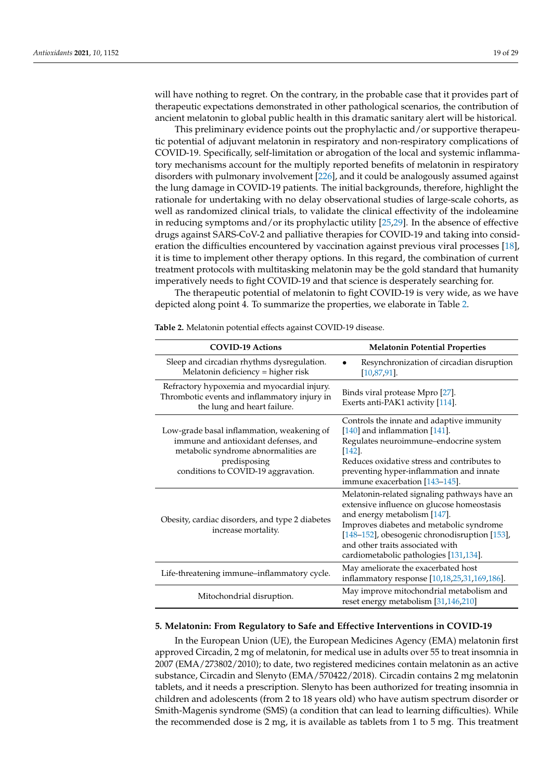will have nothing to regret. On the contrary, in the probable case that it provides part of therapeutic expectations demonstrated in other pathological scenarios, the contribution of ancient melatonin to global public health in this dramatic sanitary alert will be historical.

This preliminary evidence points out the prophylactic and/or supportive therapeutic potential of adjuvant melatonin in respiratory and non-respiratory complications of COVID-19. Specifically, self-limitation or abrogation of the local and systemic inflammatory mechanisms account for the multiply reported benefits of melatonin in respiratory disorders with pulmonary involvement [\[226\]](#page-28-19), and it could be analogously assumed against the lung damage in COVID-19 patients. The initial backgrounds, therefore, highlight the rationale for undertaking with no delay observational studies of large-scale cohorts, as well as randomized clinical trials, to validate the clinical effectivity of the indoleamine in reducing symptoms and/or its prophylactic utility [\[25,](#page-21-10)[29\]](#page-21-14). In the absence of effective drugs against SARS-CoV-2 and palliative therapies for COVID-19 and taking into consideration the difficulties encountered by vaccination against previous viral processes [\[18\]](#page-21-3), it is time to implement other therapy options. In this regard, the combination of current treatment protocols with multitasking melatonin may be the gold standard that humanity imperatively needs to fight COVID-19 and that science is desperately searching for.

The therapeutic potential of melatonin to fight COVID-19 is very wide, as we have depicted along point 4. To summarize the properties, we elaborate in Table [2.](#page-18-0)

| <b>COVID-19 Actions</b>                                                                                                                                                           | <b>Melatonin Potential Properties</b>                                                                                                                                                                                                                                                                 |  |
|-----------------------------------------------------------------------------------------------------------------------------------------------------------------------------------|-------------------------------------------------------------------------------------------------------------------------------------------------------------------------------------------------------------------------------------------------------------------------------------------------------|--|
| Sleep and circadian rhythms dysregulation.<br>Melatonin deficiency = higher risk                                                                                                  | Resynchronization of circadian disruption<br>$[10, 87, 91]$ .                                                                                                                                                                                                                                         |  |
| Refractory hypoxemia and myocardial injury.<br>Thrombotic events and inflammatory injury in<br>the lung and heart failure.                                                        | Binds viral protease Mpro [27].<br>Exerts anti-PAK1 activity [114].                                                                                                                                                                                                                                   |  |
| Low-grade basal inflammation, weakening of<br>immune and antioxidant defenses, and<br>metabolic syndrome abnormalities are<br>predisposing<br>conditions to COVID-19 aggravation. | Controls the innate and adaptive immunity<br>[140] and inflammation [141].<br>Regulates neuroimmune-endocrine system<br>$[142]$ .<br>Reduces oxidative stress and contributes to<br>preventing hyper-inflammation and innate<br>immune exacerbation [143-145].                                        |  |
| Obesity, cardiac disorders, and type 2 diabetes<br>increase mortality.                                                                                                            | Melatonin-related signaling pathways have an<br>extensive influence on glucose homeostasis<br>and energy metabolism [147].<br>Improves diabetes and metabolic syndrome<br>[148-152], obesogenic chronodisruption [153],<br>and other traits associated with<br>cardiometabolic pathologies [131,134]. |  |
| Life-threatening immune-inflammatory cycle.                                                                                                                                       | May ameliorate the exacerbated host<br>inflammatory response [10,18,25,31,169,186].                                                                                                                                                                                                                   |  |
| Mitochondrial disruption.                                                                                                                                                         | May improve mitochondrial metabolism and<br>reset energy metabolism [31,146,210]                                                                                                                                                                                                                      |  |

<span id="page-18-0"></span>**Table 2.** Melatonin potential effects against COVID-19 disease.

#### **5. Melatonin: From Regulatory to Safe and Effective Interventions in COVID-19**

In the European Union (UE), the European Medicines Agency (EMA) melatonin first approved Circadin, 2 mg of melatonin, for medical use in adults over 55 to treat insomnia in 2007 (EMA/273802/2010); to date, two registered medicines contain melatonin as an active substance, Circadin and Slenyto (EMA/570422/2018). Circadin contains 2 mg melatonin tablets, and it needs a prescription. Slenyto has been authorized for treating insomnia in children and adolescents (from 2 to 18 years old) who have autism spectrum disorder or Smith-Magenis syndrome (SMS) (a condition that can lead to learning difficulties). While the recommended dose is 2 mg, it is available as tablets from 1 to 5 mg. This treatment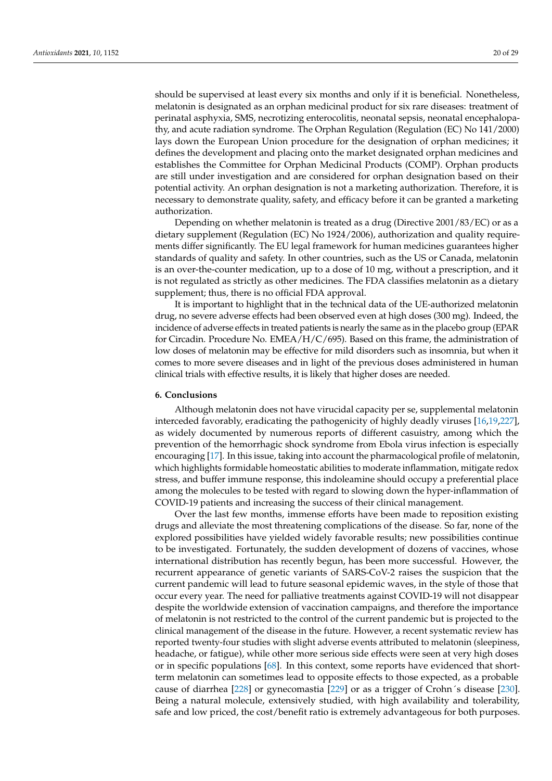should be supervised at least every six months and only if it is beneficial. Nonetheless, melatonin is designated as an orphan medicinal product for six rare diseases: treatment of perinatal asphyxia, SMS, necrotizing enterocolitis, neonatal sepsis, neonatal encephalopathy, and acute radiation syndrome. The Orphan Regulation (Regulation (EC) No 141/2000) lays down the European Union procedure for the designation of orphan medicines; it defines the development and placing onto the market designated orphan medicines and establishes the Committee for Orphan Medicinal Products (COMP). Orphan products are still under investigation and are considered for orphan designation based on their potential activity. An orphan designation is not a marketing authorization. Therefore, it is necessary to demonstrate quality, safety, and efficacy before it can be granted a marketing authorization.

Depending on whether melatonin is treated as a drug (Directive 2001/83/EC) or as a dietary supplement (Regulation (EC) No 1924/2006), authorization and quality requirements differ significantly. The EU legal framework for human medicines guarantees higher standards of quality and safety. In other countries, such as the US or Canada, melatonin is an over-the-counter medication, up to a dose of 10 mg, without a prescription, and it is not regulated as strictly as other medicines. The FDA classifies melatonin as a dietary supplement; thus, there is no official FDA approval.

It is important to highlight that in the technical data of the UE-authorized melatonin drug, no severe adverse effects had been observed even at high doses (300 mg). Indeed, the incidence of adverse effects in treated patients is nearly the same as in the placebo group (EPAR for Circadin. Procedure No. EMEA/H/C/695). Based on this frame, the administration of low doses of melatonin may be effective for mild disorders such as insomnia, but when it comes to more severe diseases and in light of the previous doses administered in human clinical trials with effective results, it is likely that higher doses are needed.

#### **6. Conclusions**

Although melatonin does not have virucidal capacity per se, supplemental melatonin interceded favorably, eradicating the pathogenicity of highly deadly viruses [\[16,](#page-21-2)[19,](#page-21-4)[227\]](#page-28-20), as widely documented by numerous reports of different casuistry, among which the prevention of the hemorrhagic shock syndrome from Ebola virus infection is especially encouraging [\[17\]](#page-21-27). In this issue, taking into account the pharmacological profile of melatonin, which highlights formidable homeostatic abilities to moderate inflammation, mitigate redox stress, and buffer immune response, this indoleamine should occupy a preferential place among the molecules to be tested with regard to slowing down the hyper-inflammation of COVID-19 patients and increasing the success of their clinical management.

Over the last few months, immense efforts have been made to reposition existing drugs and alleviate the most threatening complications of the disease. So far, none of the explored possibilities have yielded widely favorable results; new possibilities continue to be investigated. Fortunately, the sudden development of dozens of vaccines, whose international distribution has recently begun, has been more successful. However, the recurrent appearance of genetic variants of SARS-CoV-2 raises the suspicion that the current pandemic will lead to future seasonal epidemic waves, in the style of those that occur every year. The need for palliative treatments against COVID-19 will not disappear despite the worldwide extension of vaccination campaigns, and therefore the importance of melatonin is not restricted to the control of the current pandemic but is projected to the clinical management of the disease in the future. However, a recent systematic review has reported twenty-four studies with slight adverse events attributed to melatonin (sleepiness, headache, or fatigue), while other more serious side effects were seen at very high doses or in specific populations [\[68\]](#page-22-26). In this context, some reports have evidenced that shortterm melatonin can sometimes lead to opposite effects to those expected, as a probable cause of diarrhea [\[228\]](#page-28-21) or gynecomastia [\[229\]](#page-28-22) or as a trigger of Crohn´s disease [\[230\]](#page-28-23). Being a natural molecule, extensively studied, with high availability and tolerability, safe and low priced, the cost/benefit ratio is extremely advantageous for both purposes.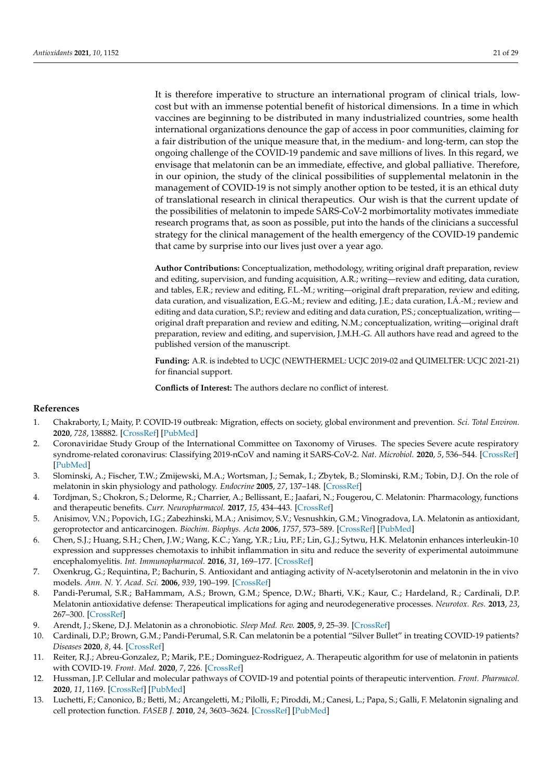It is therefore imperative to structure an international program of clinical trials, lowcost but with an immense potential benefit of historical dimensions. In a time in which vaccines are beginning to be distributed in many industrialized countries, some health international organizations denounce the gap of access in poor communities, claiming for a fair distribution of the unique measure that, in the medium- and long-term, can stop the ongoing challenge of the COVID-19 pandemic and save millions of lives. In this regard, we envisage that melatonin can be an immediate, effective, and global palliative. Therefore, in our opinion, the study of the clinical possibilities of supplemental melatonin in the management of COVID-19 is not simply another option to be tested, it is an ethical duty of translational research in clinical therapeutics. Our wish is that the current update of the possibilities of melatonin to impede SARS-CoV-2 morbimortality motivates immediate research programs that, as soon as possible, put into the hands of the clinicians a successful strategy for the clinical management of the health emergency of the COVID-19 pandemic that came by surprise into our lives just over a year ago.

**Author Contributions:** Conceptualization, methodology, writing original draft preparation, review and editing, supervision, and funding acquisition, A.R.; writing—review and editing, data curation, and tables, E.R.; review and editing, F.L.-M.; writing—original draft preparation, review and editing, data curation, and visualization, E.G.-M.; review and editing, J.E.; data curation, I.Á.-M.; review and editing and data curation, S.P.; review and editing and data curation, P.S.; conceptualization, writing original draft preparation and review and editing, N.M.; conceptualization, writing—original draft preparation, review and editing, and supervision, J.M.H.-G. All authors have read and agreed to the published version of the manuscript.

**Funding:** A.R. is indebted to UCJC (NEWTHERMEL: UCJC 2019-02 and QUIMELTER: UCJC 2021-21) for financial support.

**Conflicts of Interest:** The authors declare no conflict of interest.

## **References**

- <span id="page-20-0"></span>1. Chakraborty, I.; Maity, P. COVID-19 outbreak: Migration, effects on society, global environment and prevention. *Sci. Total Environ.* **2020**, *728*, 138882. [\[CrossRef\]](http://doi.org/10.1016/j.scitotenv.2020.138882) [\[PubMed\]](http://www.ncbi.nlm.nih.gov/pubmed/32335410)
- <span id="page-20-1"></span>2. Coronaviridae Study Group of the International Committee on Taxonomy of Viruses. The species Severe acute respiratory syndrome-related coronavirus: Classifying 2019-nCoV and naming it SARS-CoV-2. *Nat. Microbiol.* **2020**, *5*, 536–544. [\[CrossRef\]](http://doi.org/10.1038/s41564-020-0695-z) [\[PubMed\]](http://www.ncbi.nlm.nih.gov/pubmed/32123347)
- <span id="page-20-2"></span>3. Slominski, A.; Fischer, T.W.; Zmijewski, M.A.; Wortsman, J.; Semak, I.; Zbytek, B.; Slominski, R.M.; Tobin, D.J. On the role of melatonin in skin physiology and pathology. *Endocrine* **2005**, *27*, 137–148. [\[CrossRef\]](http://doi.org/10.1385/ENDO:27:2:137)
- 4. Tordjman, S.; Chokron, S.; Delorme, R.; Charrier, A.; Bellissant, E.; Jaafari, N.; Fougerou, C. Melatonin: Pharmacology, functions and therapeutic benefits. *Curr. Neuropharmacol.* **2017**, *15*, 434–443. [\[CrossRef\]](http://doi.org/10.2174/1570159X14666161228122115)
- 5. Anisimov, V.N.; Popovich, I.G.; Zabezhinski, M.A.; Anisimov, S.V.; Vesnushkin, G.M.; Vinogradova, I.A. Melatonin as antioxidant, geroprotector and anticarcinogen. *Biochim. Biophys. Acta* **2006**, *1757*, 573–589. [\[CrossRef\]](http://doi.org/10.1016/j.bbabio.2006.03.012) [\[PubMed\]](http://www.ncbi.nlm.nih.gov/pubmed/16678784)
- 6. Chen, S.J.; Huang, S.H.; Chen, J.W.; Wang, K.C.; Yang, Y.R.; Liu, P.F.; Lin, G.J.; Sytwu, H.K. Melatonin enhances interleukin-10 expression and suppresses chemotaxis to inhibit inflammation in situ and reduce the severity of experimental autoimmune encephalomyelitis. *Int. Immunopharmacol.* **2016**, *31*, 169–177. [\[CrossRef\]](http://doi.org/10.1016/j.intimp.2015.12.020)
- 7. Oxenkrug, G.; Requintina, P.; Bachurin, S. Antioxidant and antiaging activity of *N*-acetylserotonin and melatonin in the in vivo models. *Ann. N. Y. Acad. Sci.* **2006**, *939*, 190–199. [\[CrossRef\]](http://doi.org/10.1111/j.1749-6632.2001.tb03626.x)
- <span id="page-20-3"></span>8. Pandi-Perumal, S.R.; BaHammam, A.S.; Brown, G.M.; Spence, D.W.; Bharti, V.K.; Kaur, C.; Hardeland, R.; Cardinali, D.P. Melatonin antioxidative defense: Therapeutical implications for aging and neurodegenerative processes. *Neurotox. Res.* **2013**, *23*, 267–300. [\[CrossRef\]](http://doi.org/10.1007/s12640-012-9337-4)
- <span id="page-20-4"></span>9. Arendt, J.; Skene, D.J. Melatonin as a chronobiotic. *Sleep Med. Rev.* **2005**, *9*, 25–39. [\[CrossRef\]](http://doi.org/10.1016/j.smrv.2004.05.002)
- <span id="page-20-5"></span>10. Cardinali, D.P.; Brown, G.M.; Pandi-Perumal, S.R. Can melatonin be a potential "Silver Bullet" in treating COVID-19 patients? *Diseases* **2020**, *8*, 44. [\[CrossRef\]](http://doi.org/10.3390/diseases8040044)
- 11. Reiter, R.J.; Abreu-Gonzalez, P.; Marik, P.E.; Dominguez-Rodriguez, A. Therapeutic algorithm for use of melatonin in patients with COVID-19. *Front. Med.* **2020**, *7*, 226. [\[CrossRef\]](http://doi.org/10.3389/fmed.2020.00226)
- <span id="page-20-6"></span>12. Hussman, J.P. Cellular and molecular pathways of COVID-19 and potential points of therapeutic intervention. *Front. Pharmacol.* **2020**, *11*, 1169. [\[CrossRef\]](http://doi.org/10.3389/fphar.2020.01169) [\[PubMed\]](http://www.ncbi.nlm.nih.gov/pubmed/32848776)
- <span id="page-20-7"></span>13. Luchetti, F.; Canonico, B.; Betti, M.; Arcangeletti, M.; Pilolli, F.; Piroddi, M.; Canesi, L.; Papa, S.; Galli, F. Melatonin signaling and cell protection function. *FASEB J.* **2010**, *24*, 3603–3624. [\[CrossRef\]](http://doi.org/10.1096/fj.10-154450) [\[PubMed\]](http://www.ncbi.nlm.nih.gov/pubmed/20534884)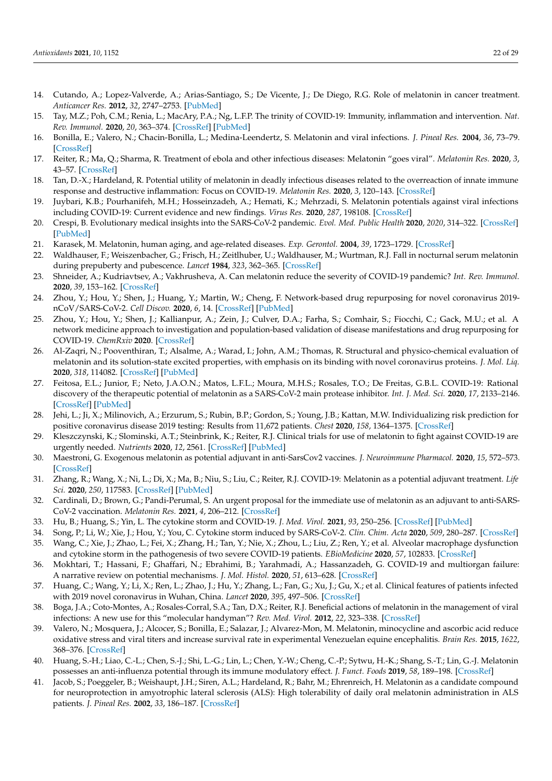- <span id="page-21-0"></span>14. Cutando, A.; Lopez-Valverde, A.; Arias-Santiago, S.; De Vicente, J.; De Diego, R.G. Role of melatonin in cancer treatment. *Anticancer Res.* **2012**, *32*, 2747–2753. [\[PubMed\]](http://www.ncbi.nlm.nih.gov/pubmed/22753734)
- <span id="page-21-1"></span>15. Tay, M.Z.; Poh, C.M.; Renia, L.; MacAry, P.A.; Ng, L.F.P. The trinity of COVID-19: Immunity, inflammation and intervention. *Nat. Rev. Immunol.* **2020**, *20*, 363–374. [\[CrossRef\]](http://doi.org/10.1038/s41577-020-0311-8) [\[PubMed\]](http://www.ncbi.nlm.nih.gov/pubmed/32346093)
- <span id="page-21-2"></span>16. Bonilla, E.; Valero, N.; Chacin-Bonilla, L.; Medina-Leendertz, S. Melatonin and viral infections. *J. Pineal Res.* **2004**, *36*, 73–79. [\[CrossRef\]](http://doi.org/10.1046/j.1600-079X.2003.00105.x)
- <span id="page-21-27"></span>17. Reiter, R.; Ma, Q.; Sharma, R. Treatment of ebola and other infectious diseases: Melatonin "goes viral". *Melatonin Res.* **2020**, *3*, 43–57. [\[CrossRef\]](http://doi.org/10.32794/mr11250047)
- <span id="page-21-3"></span>18. Tan, D.-X.; Hardeland, R. Potential utility of melatonin in deadly infectious diseases related to the overreaction of innate immune response and destructive inflammation: Focus on COVID-19. *Melatonin Res.* **2020**, *3*, 120–143. [\[CrossRef\]](http://doi.org/10.32794/mr11250052)
- <span id="page-21-4"></span>19. Juybari, K.B.; Pourhanifeh, M.H.; Hosseinzadeh, A.; Hemati, K.; Mehrzadi, S. Melatonin potentials against viral infections including COVID-19: Current evidence and new findings. *Virus Res.* **2020**, *287*, 198108. [\[CrossRef\]](http://doi.org/10.1016/j.virusres.2020.198108)
- <span id="page-21-5"></span>20. Crespi, B. Evolutionary medical insights into the SARS-CoV-2 pandemic. *Evol. Med. Public Health* **2020**, *2020*, 314–322. [\[CrossRef\]](http://doi.org/10.1093/emph/eoaa036) [\[PubMed\]](http://www.ncbi.nlm.nih.gov/pubmed/33335737)
- <span id="page-21-6"></span>21. Karasek, M. Melatonin, human aging, and age-related diseases. *Exp. Gerontol.* **2004**, *39*, 1723–1729. [\[CrossRef\]](http://doi.org/10.1016/j.exger.2004.04.012)
- <span id="page-21-7"></span>22. Waldhauser, F.; Weiszenbacher, G.; Frisch, H.; Zeitlhuber, U.; Waldhauser, M.; Wurtman, R.J. Fall in nocturnal serum melatonin during prepuberty and pubescence. *Lancet* **1984**, *323*, 362–365. [\[CrossRef\]](http://doi.org/10.1016/S0140-6736(84)90412-4)
- <span id="page-21-8"></span>23. Shneider, A.; Kudriavtsev, A.; Vakhrusheva, A. Can melatonin reduce the severity of COVID-19 pandemic? *Int. Rev. Immunol.* **2020**, *39*, 153–162. [\[CrossRef\]](http://doi.org/10.1080/08830185.2020.1756284)
- <span id="page-21-9"></span>24. Zhou, Y.; Hou, Y.; Shen, J.; Huang, Y.; Martin, W.; Cheng, F. Network-based drug repurposing for novel coronavirus 2019 nCoV/SARS-CoV-2. *Cell Discov.* **2020**, *6*, 14. [\[CrossRef\]](http://doi.org/10.1038/s41421-020-0153-3) [\[PubMed\]](http://www.ncbi.nlm.nih.gov/pubmed/33723226)
- <span id="page-21-10"></span>25. Zhou, Y.; Hou, Y.; Shen, J.; Kallianpur, A.; Zein, J.; Culver, D.A.; Farha, S.; Comhair, S.; Fiocchi, C.; Gack, M.U.; et al. A network medicine approach to investigation and population-based validation of disease manifestations and drug repurposing for COVID-19. *ChemRxiv* **2020**. [\[CrossRef\]](http://doi.org/10.1371/journal.pbio.3000970)
- <span id="page-21-11"></span>26. Al-Zaqri, N.; Pooventhiran, T.; Alsalme, A.; Warad, I.; John, A.M.; Thomas, R. Structural and physico-chemical evaluation of melatonin and its solution-state excited properties, with emphasis on its binding with novel coronavirus proteins. *J. Mol. Liq.* **2020**, *318*, 114082. [\[CrossRef\]](http://doi.org/10.1016/j.molliq.2020.114082) [\[PubMed\]](http://www.ncbi.nlm.nih.gov/pubmed/32863490)
- <span id="page-21-12"></span>27. Feitosa, E.L.; Junior, F.; Neto, J.A.O.N.; Matos, L.F.L.; Moura, M.H.S.; Rosales, T.O.; De Freitas, G.B.L. COVID-19: Rational discovery of the therapeutic potential of melatonin as a SARS-CoV-2 main protease inhibitor. *Int. J. Med. Sci.* **2020**, *17*, 2133–2146. [\[CrossRef\]](http://doi.org/10.7150/ijms.48053) [\[PubMed\]](http://www.ncbi.nlm.nih.gov/pubmed/32922174)
- <span id="page-21-13"></span>28. Jehi, L.; Ji, X.; Milinovich, A.; Erzurum, S.; Rubin, B.P.; Gordon, S.; Young, J.B.; Kattan, M.W. Individualizing risk prediction for positive coronavirus disease 2019 testing: Results from 11,672 patients. *Chest* **2020**, *158*, 1364–1375. [\[CrossRef\]](http://doi.org/10.1016/j.chest.2020.05.580)
- <span id="page-21-14"></span>29. Kleszczynski, K.; Slominski, A.T.; Steinbrink, K.; Reiter, R.J. Clinical trials for use of melatonin to fight against COVID-19 are urgently needed. *Nutrients* **2020**, *12*, 2561. [\[CrossRef\]](http://doi.org/10.3390/nu12092561) [\[PubMed\]](http://www.ncbi.nlm.nih.gov/pubmed/32847033)
- <span id="page-21-15"></span>30. Maestroni, G. Exogenous melatonin as potential adjuvant in anti-SarsCov2 vaccines. *J. Neuroimmune Pharmacol.* **2020**, *15*, 572–573. [\[CrossRef\]](http://doi.org/10.1007/s11481-020-09956-1)
- <span id="page-21-26"></span>31. Zhang, R.; Wang, X.; Ni, L.; Di, X.; Ma, B.; Niu, S.; Liu, C.; Reiter, R.J. COVID-19: Melatonin as a potential adjuvant treatment. *Life Sci.* **2020**, *250*, 117583. [\[CrossRef\]](http://doi.org/10.1016/j.lfs.2020.117583) [\[PubMed\]](http://www.ncbi.nlm.nih.gov/pubmed/32217117)
- <span id="page-21-16"></span>32. Cardinali, D.; Brown, G.; Pandi-Perumal, S. An urgent proposal for the immediate use of melatonin as an adjuvant to anti-SARS-CoV-2 vaccination. *Melatonin Res.* **2021**, *4*, 206–212. [\[CrossRef\]](http://doi.org/10.32794/mr11250091)
- <span id="page-21-17"></span>33. Hu, B.; Huang, S.; Yin, L. The cytokine storm and COVID-19. *J. Med. Virol.* **2021**, *93*, 250–256. [\[CrossRef\]](http://doi.org/10.1002/jmv.26232) [\[PubMed\]](http://www.ncbi.nlm.nih.gov/pubmed/32592501)
- <span id="page-21-19"></span><span id="page-21-18"></span>34. Song, P.; Li, W.; Xie, J.; Hou, Y.; You, C. Cytokine storm induced by SARS-CoV-2. *Clin. Chim. Acta* **2020**, *509*, 280–287. [\[CrossRef\]](http://doi.org/10.1016/j.cca.2020.06.017) 35. Wang, C.; Xie, J.; Zhao, L.; Fei, X.; Zhang, H.; Tan, Y.; Nie, X.; Zhou, L.; Liu, Z.; Ren, Y.; et al. Alveolar macrophage dysfunction
- and cytokine storm in the pathogenesis of two severe COVID-19 patients. *EBioMedicine* **2020**, *57*, 102833. [\[CrossRef\]](http://doi.org/10.1016/j.ebiom.2020.102833)
- <span id="page-21-20"></span>36. Mokhtari, T.; Hassani, F.; Ghaffari, N.; Ebrahimi, B.; Yarahmadi, A.; Hassanzadeh, G. COVID-19 and multiorgan failure: A narrative review on potential mechanisms. *J. Mol. Histol.* **2020**, *51*, 613–628. [\[CrossRef\]](http://doi.org/10.1007/s10735-020-09915-3)
- <span id="page-21-21"></span>37. Huang, C.; Wang, Y.; Li, X.; Ren, L.; Zhao, J.; Hu, Y.; Zhang, L.; Fan, G.; Xu, J.; Gu, X.; et al. Clinical features of patients infected with 2019 novel coronavirus in Wuhan, China. *Lancet* **2020**, *395*, 497–506. [\[CrossRef\]](http://doi.org/10.1016/S0140-6736(20)30183-5)
- <span id="page-21-22"></span>38. Boga, J.A.; Coto-Montes, A.; Rosales-Corral, S.A.; Tan, D.X.; Reiter, R.J. Beneficial actions of melatonin in the management of viral infections: A new use for this "molecular handyman"? *Rev. Med. Virol.* **2012**, *22*, 323–338. [\[CrossRef\]](http://doi.org/10.1002/rmv.1714)
- <span id="page-21-23"></span>39. Valero, N.; Mosquera, J.; Alcocer, S.; Bonilla, E.; Salazar, J.; Alvarez-Mon, M. Melatonin, minocycline and ascorbic acid reduce oxidative stress and viral titers and increase survival rate in experimental Venezuelan equine encephalitis. *Brain Res.* **2015**, *1622*, 368–376. [\[CrossRef\]](http://doi.org/10.1016/j.brainres.2015.06.034)
- <span id="page-21-24"></span>40. Huang, S.-H.; Liao, C.-L.; Chen, S.-J.; Shi, L.-G.; Lin, L.; Chen, Y.-W.; Cheng, C.-P.; Sytwu, H.-K.; Shang, S.-T.; Lin, G.-J. Melatonin possesses an anti-influenza potential through its immune modulatory effect. *J. Funct. Foods* **2019**, *58*, 189–198. [\[CrossRef\]](http://doi.org/10.1016/j.jff.2019.04.062)
- <span id="page-21-25"></span>41. Jacob, S.; Poeggeler, B.; Weishaupt, J.H.; Siren, A.L.; Hardeland, R.; Bahr, M.; Ehrenreich, H. Melatonin as a candidate compound for neuroprotection in amyotrophic lateral sclerosis (ALS): High tolerability of daily oral melatonin administration in ALS patients. *J. Pineal Res.* **2002**, *33*, 186–187. [\[CrossRef\]](http://doi.org/10.1034/j.1600-079X.2002.02943.x)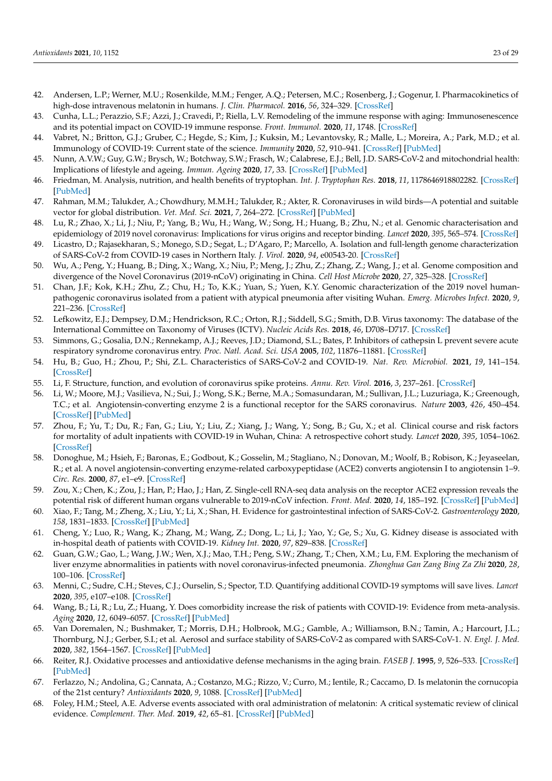- <span id="page-22-0"></span>42. Andersen, L.P.; Werner, M.U.; Rosenkilde, M.M.; Fenger, A.Q.; Petersen, M.C.; Rosenberg, J.; Gogenur, I. Pharmacokinetics of high-dose intravenous melatonin in humans. *J. Clin. Pharmacol.* **2016**, *56*, 324–329. [\[CrossRef\]](http://doi.org/10.1002/jcph.592)
- <span id="page-22-1"></span>43. Cunha, L.L.; Perazzio, S.F.; Azzi, J.; Cravedi, P.; Riella, L.V. Remodeling of the immune response with aging: Immunosenescence and its potential impact on COVID-19 immune response. *Front. Immunol.* **2020**, *11*, 1748. [\[CrossRef\]](http://doi.org/10.3389/fimmu.2020.01748)
- <span id="page-22-2"></span>44. Vabret, N.; Britton, G.J.; Gruber, C.; Hegde, S.; Kim, J.; Kuksin, M.; Levantovsky, R.; Malle, L.; Moreira, A.; Park, M.D.; et al. Immunology of COVID-19: Current state of the science. *Immunity* **2020**, *52*, 910–941. [\[CrossRef\]](http://doi.org/10.1016/j.immuni.2020.05.002) [\[PubMed\]](http://www.ncbi.nlm.nih.gov/pubmed/32505227)
- <span id="page-22-3"></span>45. Nunn, A.V.W.; Guy, G.W.; Brysch, W.; Botchway, S.W.; Frasch, W.; Calabrese, E.J.; Bell, J.D. SARS-CoV-2 and mitochondrial health: Implications of lifestyle and ageing. *Immun. Ageing* **2020**, *17*, 33. [\[CrossRef\]](http://doi.org/10.1186/s12979-020-00204-x) [\[PubMed\]](http://www.ncbi.nlm.nih.gov/pubmed/33292333)
- <span id="page-22-4"></span>46. Friedman, M. Analysis, nutrition, and health benefits of tryptophan. *Int. J. Tryptophan Res.* **2018**, *11*, 1178646918802282. [\[CrossRef\]](http://doi.org/10.1177/1178646918802282) [\[PubMed\]](http://www.ncbi.nlm.nih.gov/pubmed/30275700)
- <span id="page-22-5"></span>47. Rahman, M.M.; Talukder, A.; Chowdhury, M.M.H.; Talukder, R.; Akter, R. Coronaviruses in wild birds—A potential and suitable vector for global distribution. *Vet. Med. Sci.* **2021**, *7*, 264–272. [\[CrossRef\]](http://doi.org/10.1002/vms3.360) [\[PubMed\]](http://www.ncbi.nlm.nih.gov/pubmed/32970935)
- <span id="page-22-6"></span>48. Lu, R.; Zhao, X.; Li, J.; Niu, P.; Yang, B.; Wu, H.; Wang, W.; Song, H.; Huang, B.; Zhu, N.; et al. Genomic characterisation and epidemiology of 2019 novel coronavirus: Implications for virus origins and receptor binding. *Lancet* **2020**, *395*, 565–574. [\[CrossRef\]](http://doi.org/10.1016/S0140-6736(20)30251-8)
- <span id="page-22-7"></span>49. Licastro, D.; Rajasekharan, S.; Monego, S.D.; Segat, L.; D'Agaro, P.; Marcello, A. Isolation and full-length genome characterization of SARS-CoV-2 from COVID-19 cases in Northern Italy. *J. Virol.* **2020**, *94*, e00543-20. [\[CrossRef\]](http://doi.org/10.1128/JVI.00543-20)
- <span id="page-22-8"></span>50. Wu, A.; Peng, Y.; Huang, B.; Ding, X.; Wang, X.; Niu, P.; Meng, J.; Zhu, Z.; Zhang, Z.; Wang, J.; et al. Genome composition and divergence of the Novel Coronavirus (2019-nCoV) originating in China. *Cell Host Microbe* **2020**, *27*, 325–328. [\[CrossRef\]](http://doi.org/10.1016/j.chom.2020.02.001)
- <span id="page-22-9"></span>51. Chan, J.F.; Kok, K.H.; Zhu, Z.; Chu, H.; To, K.K.; Yuan, S.; Yuen, K.Y. Genomic characterization of the 2019 novel humanpathogenic coronavirus isolated from a patient with atypical pneumonia after visiting Wuhan. *Emerg. Microbes Infect.* **2020**, *9*, 221–236. [\[CrossRef\]](http://doi.org/10.1080/22221751.2020.1719902)
- <span id="page-22-10"></span>52. Lefkowitz, E.J.; Dempsey, D.M.; Hendrickson, R.C.; Orton, R.J.; Siddell, S.G.; Smith, D.B. Virus taxonomy: The database of the International Committee on Taxonomy of Viruses (ICTV). *Nucleic Acids Res.* **2018**, *46*, D708–D717. [\[CrossRef\]](http://doi.org/10.1093/nar/gkx932)
- <span id="page-22-11"></span>53. Simmons, G.; Gosalia, D.N.; Rennekamp, A.J.; Reeves, J.D.; Diamond, S.L.; Bates, P. Inhibitors of cathepsin L prevent severe acute respiratory syndrome coronavirus entry. *Proc. Natl. Acad. Sci. USA* **2005**, *102*, 11876–11881. [\[CrossRef\]](http://doi.org/10.1073/pnas.0505577102)
- <span id="page-22-12"></span>54. Hu, B.; Guo, H.; Zhou, P.; Shi, Z.L. Characteristics of SARS-CoV-2 and COVID-19. *Nat. Rev. Microbiol.* **2021**, *19*, 141–154. [\[CrossRef\]](http://doi.org/10.1038/s41579-020-00459-7)
- <span id="page-22-13"></span>55. Li, F. Structure, function, and evolution of coronavirus spike proteins. *Annu. Rev. Virol.* **2016**, *3*, 237–261. [\[CrossRef\]](http://doi.org/10.1146/annurev-virology-110615-042301)
- <span id="page-22-14"></span>56. Li, W.; Moore, M.J.; Vasilieva, N.; Sui, J.; Wong, S.K.; Berne, M.A.; Somasundaran, M.; Sullivan, J.L.; Luzuriaga, K.; Greenough, T.C.; et al. Angiotensin-converting enzyme 2 is a functional receptor for the SARS coronavirus. *Nature* **2003**, *426*, 450–454. [\[CrossRef\]](http://doi.org/10.1038/nature02145) [\[PubMed\]](http://www.ncbi.nlm.nih.gov/pubmed/14647384)
- <span id="page-22-15"></span>57. Zhou, F.; Yu, T.; Du, R.; Fan, G.; Liu, Y.; Liu, Z.; Xiang, J.; Wang, Y.; Song, B.; Gu, X.; et al. Clinical course and risk factors for mortality of adult inpatients with COVID-19 in Wuhan, China: A retrospective cohort study. *Lancet* **2020**, *395*, 1054–1062. [\[CrossRef\]](http://doi.org/10.1016/S0140-6736(20)30566-3)
- <span id="page-22-16"></span>58. Donoghue, M.; Hsieh, F.; Baronas, E.; Godbout, K.; Gosselin, M.; Stagliano, N.; Donovan, M.; Woolf, B.; Robison, K.; Jeyaseelan, R.; et al. A novel angiotensin-converting enzyme-related carboxypeptidase (ACE2) converts angiotensin I to angiotensin 1–9. *Circ. Res.* **2000**, *87*, e1–e9. [\[CrossRef\]](http://doi.org/10.1161/01.RES.87.5.e1)
- <span id="page-22-17"></span>59. Zou, X.; Chen, K.; Zou, J.; Han, P.; Hao, J.; Han, Z. Single-cell RNA-seq data analysis on the receptor ACE2 expression reveals the potential risk of different human organs vulnerable to 2019-nCoV infection. *Front. Med.* **2020**, *14*, 185–192. [\[CrossRef\]](http://doi.org/10.1007/s11684-020-0754-0) [\[PubMed\]](http://www.ncbi.nlm.nih.gov/pubmed/32170560)
- <span id="page-22-18"></span>60. Xiao, F.; Tang, M.; Zheng, X.; Liu, Y.; Li, X.; Shan, H. Evidence for gastrointestinal infection of SARS-CoV-2. *Gastroenterology* **2020**, *158*, 1831–1833. [\[CrossRef\]](http://doi.org/10.1053/j.gastro.2020.02.055) [\[PubMed\]](http://www.ncbi.nlm.nih.gov/pubmed/32142773)
- <span id="page-22-19"></span>61. Cheng, Y.; Luo, R.; Wang, K.; Zhang, M.; Wang, Z.; Dong, L.; Li, J.; Yao, Y.; Ge, S.; Xu, G. Kidney disease is associated with in-hospital death of patients with COVID-19. *Kidney Int.* **2020**, *97*, 829–838. [\[CrossRef\]](http://doi.org/10.1016/j.kint.2020.03.005)
- <span id="page-22-20"></span>62. Guan, G.W.; Gao, L.; Wang, J.W.; Wen, X.J.; Mao, T.H.; Peng, S.W.; Zhang, T.; Chen, X.M.; Lu, F.M. Exploring the mechanism of liver enzyme abnormalities in patients with novel coronavirus-infected pneumonia. *Zhonghua Gan Zang Bing Za Zhi* **2020**, *28*, 100–106. [\[CrossRef\]](http://doi.org/10.3760/cma.j.issn.1007-3418.2020.02.002)
- <span id="page-22-21"></span>63. Menni, C.; Sudre, C.H.; Steves, C.J.; Ourselin, S.; Spector, T.D. Quantifying additional COVID-19 symptoms will save lives. *Lancet* **2020**, *395*, e107–e108. [\[CrossRef\]](http://doi.org/10.1016/S0140-6736(20)31281-2)
- <span id="page-22-22"></span>64. Wang, B.; Li, R.; Lu, Z.; Huang, Y. Does comorbidity increase the risk of patients with COVID-19: Evidence from meta-analysis. *Aging* **2020**, *12*, 6049–6057. [\[CrossRef\]](http://doi.org/10.18632/aging.103000) [\[PubMed\]](http://www.ncbi.nlm.nih.gov/pubmed/32267833)
- <span id="page-22-23"></span>65. Van Doremalen, N.; Bushmaker, T.; Morris, D.H.; Holbrook, M.G.; Gamble, A.; Williamson, B.N.; Tamin, A.; Harcourt, J.L.; Thornburg, N.J.; Gerber, S.I.; et al. Aerosol and surface stability of SARS-CoV-2 as compared with SARS-CoV-1. *N. Engl. J. Med.* **2020**, *382*, 1564–1567. [\[CrossRef\]](http://doi.org/10.1056/NEJMc2004973) [\[PubMed\]](http://www.ncbi.nlm.nih.gov/pubmed/32182409)
- <span id="page-22-24"></span>66. Reiter, R.J. Oxidative processes and antioxidative defense mechanisms in the aging brain. *FASEB J.* **1995**, *9*, 526–533. [\[CrossRef\]](http://doi.org/10.1096/fasebj.9.7.7737461) [\[PubMed\]](http://www.ncbi.nlm.nih.gov/pubmed/7737461)
- <span id="page-22-25"></span>67. Ferlazzo, N.; Andolina, G.; Cannata, A.; Costanzo, M.G.; Rizzo, V.; Curro, M.; Ientile, R.; Caccamo, D. Is melatonin the cornucopia of the 21st century? *Antioxidants* **2020**, *9*, 1088. [\[CrossRef\]](http://doi.org/10.3390/antiox9111088) [\[PubMed\]](http://www.ncbi.nlm.nih.gov/pubmed/33167396)
- <span id="page-22-26"></span>68. Foley, H.M.; Steel, A.E. Adverse events associated with oral administration of melatonin: A critical systematic review of clinical evidence. *Complement. Ther. Med.* **2019**, *42*, 65–81. [\[CrossRef\]](http://doi.org/10.1016/j.ctim.2018.11.003) [\[PubMed\]](http://www.ncbi.nlm.nih.gov/pubmed/30670284)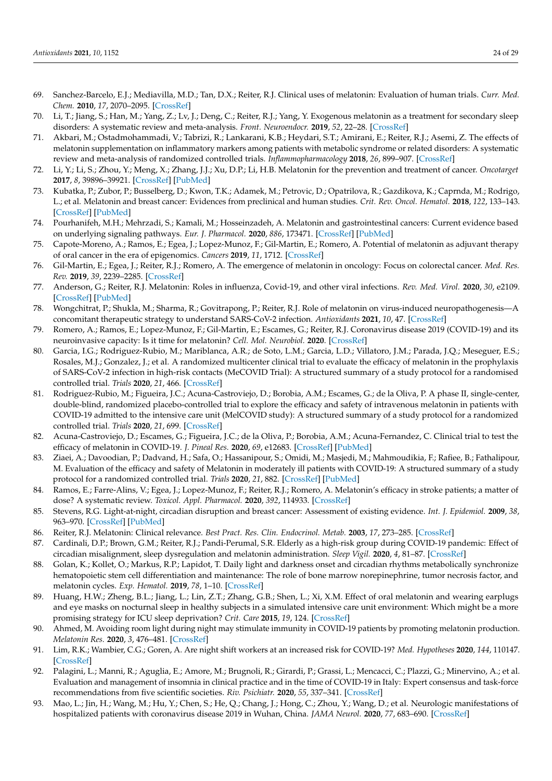- <span id="page-23-0"></span>69. Sanchez-Barcelo, E.J.; Mediavilla, M.D.; Tan, D.X.; Reiter, R.J. Clinical uses of melatonin: Evaluation of human trials. *Curr. Med. Chem.* **2010**, *17*, 2070–2095. [\[CrossRef\]](http://doi.org/10.2174/092986710791233689)
- 70. Li, T.; Jiang, S.; Han, M.; Yang, Z.; Lv, J.; Deng, C.; Reiter, R.J.; Yang, Y. Exogenous melatonin as a treatment for secondary sleep disorders: A systematic review and meta-analysis. *Front. Neuroendocr.* **2019**, *52*, 22–28. [\[CrossRef\]](http://doi.org/10.1016/j.yfrne.2018.06.004)
- <span id="page-23-1"></span>71. Akbari, M.; Ostadmohammadi, V.; Tabrizi, R.; Lankarani, K.B.; Heydari, S.T.; Amirani, E.; Reiter, R.J.; Asemi, Z. The effects of melatonin supplementation on inflammatory markers among patients with metabolic syndrome or related disorders: A systematic review and meta-analysis of randomized controlled trials. *Inflammopharmacology* **2018**, *26*, 899–907. [\[CrossRef\]](http://doi.org/10.1007/s10787-018-0508-7)
- <span id="page-23-2"></span>72. Li, Y.; Li, S.; Zhou, Y.; Meng, X.; Zhang, J.J.; Xu, D.P.; Li, H.B. Melatonin for the prevention and treatment of cancer. *Oncotarget* **2017**, *8*, 39896–39921. [\[CrossRef\]](http://doi.org/10.18632/oncotarget.16379) [\[PubMed\]](http://www.ncbi.nlm.nih.gov/pubmed/28415828)
- 73. Kubatka, P.; Zubor, P.; Busselberg, D.; Kwon, T.K.; Adamek, M.; Petrovic, D.; Opatrilova, R.; Gazdikova, K.; Caprnda, M.; Rodrigo, L.; et al. Melatonin and breast cancer: Evidences from preclinical and human studies. *Crit. Rev. Oncol. Hematol.* **2018**, *122*, 133–143. [\[CrossRef\]](http://doi.org/10.1016/j.critrevonc.2017.12.018) [\[PubMed\]](http://www.ncbi.nlm.nih.gov/pubmed/29458781)
- 74. Pourhanifeh, M.H.; Mehrzadi, S.; Kamali, M.; Hosseinzadeh, A. Melatonin and gastrointestinal cancers: Current evidence based on underlying signaling pathways. *Eur. J. Pharmacol.* **2020**, *886*, 173471. [\[CrossRef\]](http://doi.org/10.1016/j.ejphar.2020.173471) [\[PubMed\]](http://www.ncbi.nlm.nih.gov/pubmed/32877658)
- 75. Capote-Moreno, A.; Ramos, E.; Egea, J.; Lopez-Munoz, F.; Gil-Martin, E.; Romero, A. Potential of melatonin as adjuvant therapy of oral cancer in the era of epigenomics. *Cancers* **2019**, *11*, 1712. [\[CrossRef\]](http://doi.org/10.3390/cancers11111712)
- <span id="page-23-3"></span>76. Gil-Martin, E.; Egea, J.; Reiter, R.J.; Romero, A. The emergence of melatonin in oncology: Focus on colorectal cancer. *Med. Res. Rev.* **2019**, *39*, 2239–2285. [\[CrossRef\]](http://doi.org/10.1002/med.21582)
- <span id="page-23-4"></span>77. Anderson, G.; Reiter, R.J. Melatonin: Roles in influenza, Covid-19, and other viral infections. *Rev. Med. Virol.* **2020**, *30*, e2109. [\[CrossRef\]](http://doi.org/10.1002/rmv.2109) [\[PubMed\]](http://www.ncbi.nlm.nih.gov/pubmed/32314850)
- <span id="page-23-5"></span>78. Wongchitrat, P.; Shukla, M.; Sharma, R.; Govitrapong, P.; Reiter, R.J. Role of melatonin on virus-induced neuropathogenesis—A concomitant therapeutic strategy to understand SARS-CoV-2 infection. *Antioxidants* **2021**, *10*, 47. [\[CrossRef\]](http://doi.org/10.3390/antiox10010047)
- <span id="page-23-6"></span>79. Romero, A.; Ramos, E.; Lopez-Munoz, F.; Gil-Martin, E.; Escames, G.; Reiter, R.J. Coronavirus disease 2019 (COVID-19) and its neuroinvasive capacity: Is it time for melatonin? *Cell. Mol. Neurobiol.* **2020**. [\[CrossRef\]](http://doi.org/10.1007/s10571-020-00938-8)
- <span id="page-23-7"></span>80. Garcia, I.G.; Rodriguez-Rubio, M.; Mariblanca, A.R.; de Soto, L.M.; Garcia, L.D.; Villatoro, J.M.; Parada, J.Q.; Meseguer, E.S.; Rosales, M.J.; Gonzalez, J.; et al. A randomized multicenter clinical trial to evaluate the efficacy of melatonin in the prophylaxis of SARS-CoV-2 infection in high-risk contacts (MeCOVID Trial): A structured summary of a study protocol for a randomised controlled trial. *Trials* **2020**, *21*, 466. [\[CrossRef\]](http://doi.org/10.1186/s13063-020-04436-6)
- <span id="page-23-8"></span>81. Rodriguez-Rubio, M.; Figueira, J.C.; Acuna-Castroviejo, D.; Borobia, A.M.; Escames, G.; de la Oliva, P. A phase II, single-center, double-blind, randomized placebo-controlled trial to explore the efficacy and safety of intravenous melatonin in patients with COVID-19 admitted to the intensive care unit (MelCOVID study): A structured summary of a study protocol for a randomized controlled trial. *Trials* **2020**, *21*, 699. [\[CrossRef\]](http://doi.org/10.1186/s13063-020-04632-4)
- <span id="page-23-9"></span>82. Acuna-Castroviejo, D.; Escames, G.; Figueira, J.C.; de la Oliva, P.; Borobia, A.M.; Acuna-Fernandez, C. Clinical trial to test the efficacy of melatonin in COVID-19. *J. Pineal Res.* **2020**, *69*, e12683. [\[CrossRef\]](http://doi.org/10.1111/jpi.12683) [\[PubMed\]](http://www.ncbi.nlm.nih.gov/pubmed/32770854)
- <span id="page-23-10"></span>83. Ziaei, A.; Davoodian, P.; Dadvand, H.; Safa, O.; Hassanipour, S.; Omidi, M.; Masjedi, M.; Mahmoudikia, F.; Rafiee, B.; Fathalipour, M. Evaluation of the efficacy and safety of Melatonin in moderately ill patients with COVID-19: A structured summary of a study protocol for a randomized controlled trial. *Trials* **2020**, *21*, 882. [\[CrossRef\]](http://doi.org/10.1186/s13063-020-04737-w) [\[PubMed\]](http://www.ncbi.nlm.nih.gov/pubmed/33106171)
- <span id="page-23-11"></span>84. Ramos, E.; Farre-Alins, V.; Egea, J.; Lopez-Munoz, F.; Reiter, R.J.; Romero, A. Melatonin's efficacy in stroke patients; a matter of dose? A systematic review. *Toxicol. Appl. Pharmacol.* **2020**, *392*, 114933. [\[CrossRef\]](http://doi.org/10.1016/j.taap.2020.114933)
- <span id="page-23-12"></span>85. Stevens, R.G. Light-at-night, circadian disruption and breast cancer: Assessment of existing evidence. *Int. J. Epidemiol.* **2009**, *38*, 963–970. [\[CrossRef\]](http://doi.org/10.1093/ije/dyp178) [\[PubMed\]](http://www.ncbi.nlm.nih.gov/pubmed/19380369)
- <span id="page-23-13"></span>86. Reiter, R.J. Melatonin: Clinical relevance. *Best Pract. Res. Clin. Endocrinol. Metab.* **2003**, *17*, 273–285. [\[CrossRef\]](http://doi.org/10.1016/S1521-690X(03)00016-2)
- <span id="page-23-14"></span>87. Cardinali, D.P.; Brown, G.M.; Reiter, R.J.; Pandi-Perumal, S.R. Elderly as a high-risk group during COVID-19 pandemic: Effect of circadian misalignment, sleep dysregulation and melatonin administration. *Sleep Vigil.* **2020**, *4*, 81–87. [\[CrossRef\]](http://doi.org/10.1007/s41782-020-00111-7)
- <span id="page-23-15"></span>88. Golan, K.; Kollet, O.; Markus, R.P.; Lapidot, T. Daily light and darkness onset and circadian rhythms metabolically synchronize hematopoietic stem cell differentiation and maintenance: The role of bone marrow norepinephrine, tumor necrosis factor, and melatonin cycles. *Exp. Hematol.* **2019**, *78*, 1–10. [\[CrossRef\]](http://doi.org/10.1016/j.exphem.2019.08.008)
- <span id="page-23-16"></span>89. Huang, H.W.; Zheng, B.L.; Jiang, L.; Lin, Z.T.; Zhang, G.B.; Shen, L.; Xi, X.M. Effect of oral melatonin and wearing earplugs and eye masks on nocturnal sleep in healthy subjects in a simulated intensive care unit environment: Which might be a more promising strategy for ICU sleep deprivation? *Crit. Care* **2015**, *19*, 124. [\[CrossRef\]](http://doi.org/10.1186/s13054-015-0842-8)
- <span id="page-23-17"></span>90. Ahmed, M. Avoiding room light during night may stimulate immunity in COVID-19 patients by promoting melatonin production. *Melatonin Res.* **2020**, *3*, 476–481. [\[CrossRef\]](http://doi.org/10.32794/mr11250073)
- <span id="page-23-18"></span>91. Lim, R.K.; Wambier, C.G.; Goren, A. Are night shift workers at an increased risk for COVID-19? *Med. Hypotheses* **2020**, *144*, 110147. [\[CrossRef\]](http://doi.org/10.1016/j.mehy.2020.110147)
- <span id="page-23-19"></span>92. Palagini, L.; Manni, R.; Aguglia, E.; Amore, M.; Brugnoli, R.; Girardi, P.; Grassi, L.; Mencacci, C.; Plazzi, G.; Minervino, A.; et al. Evaluation and management of insomnia in clinical practice and in the time of COVID-19 in Italy: Expert consensus and task-force recommendations from five scientific societies. *Riv. Psichiatr.* **2020**, *55*, 337–341. [\[CrossRef\]](http://doi.org/10.1708/3503.34891)
- <span id="page-23-20"></span>93. Mao, L.; Jin, H.; Wang, M.; Hu, Y.; Chen, S.; He, Q.; Chang, J.; Hong, C.; Zhou, Y.; Wang, D.; et al. Neurologic manifestations of hospitalized patients with coronavirus disease 2019 in Wuhan, China. *JAMA Neurol.* **2020**, *77*, 683–690. [\[CrossRef\]](http://doi.org/10.1001/jamaneurol.2020.1127)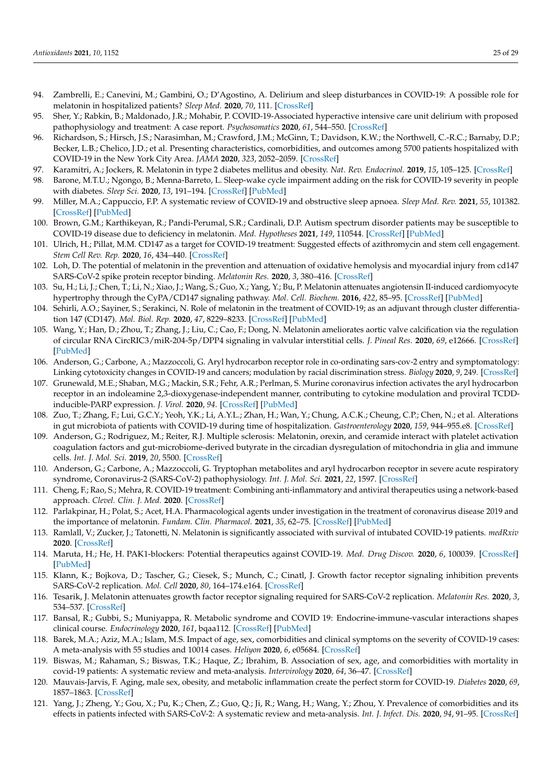- <span id="page-24-0"></span>94. Zambrelli, E.; Canevini, M.; Gambini, O.; D'Agostino, A. Delirium and sleep disturbances in COVID-19: A possible role for melatonin in hospitalized patients? *Sleep Med.* **2020**, *70*, 111. [\[CrossRef\]](http://doi.org/10.1016/j.sleep.2020.04.006)
- <span id="page-24-1"></span>95. Sher, Y.; Rabkin, B.; Maldonado, J.R.; Mohabir, P. COVID-19-Associated hyperactive intensive care unit delirium with proposed pathophysiology and treatment: A case report. *Psychosomatics* **2020**, *61*, 544–550. [\[CrossRef\]](http://doi.org/10.1016/j.psym.2020.05.007)
- <span id="page-24-2"></span>96. Richardson, S.; Hirsch, J.S.; Narasimhan, M.; Crawford, J.M.; McGinn, T.; Davidson, K.W.; the Northwell, C.-R.C.; Barnaby, D.P.; Becker, L.B.; Chelico, J.D.; et al. Presenting characteristics, comorbidities, and outcomes among 5700 patients hospitalized with COVID-19 in the New York City Area. *JAMA* **2020**, *323*, 2052–2059. [\[CrossRef\]](http://doi.org/10.1001/jama.2020.6775)
- <span id="page-24-3"></span>97. Karamitri, A.; Jockers, R. Melatonin in type 2 diabetes mellitus and obesity. *Nat. Rev. Endocrinol.* **2019**, *15*, 105–125. [\[CrossRef\]](http://doi.org/10.1038/s41574-018-0130-1)
- <span id="page-24-4"></span>98. Barone, M.T.U.; Ngongo, B.; Menna-Barreto, L. Sleep-wake cycle impairment adding on the risk for COVID-19 severity in people with diabetes. *Sleep Sci.* **2020**, *13*, 191–194. [\[CrossRef\]](http://doi.org/10.5935/1984-0063.20200038) [\[PubMed\]](http://www.ncbi.nlm.nih.gov/pubmed/33381286)
- <span id="page-24-5"></span>99. Miller, M.A.; Cappuccio, F.P. A systematic review of COVID-19 and obstructive sleep apnoea. *Sleep Med. Rev.* **2021**, *55*, 101382. [\[CrossRef\]](http://doi.org/10.1016/j.smrv.2020.101382) [\[PubMed\]](http://www.ncbi.nlm.nih.gov/pubmed/32980614)
- <span id="page-24-6"></span>100. Brown, G.M.; Karthikeyan, R.; Pandi-Perumal, S.R.; Cardinali, D.P. Autism spectrum disorder patients may be susceptible to COVID-19 disease due to deficiency in melatonin. *Med. Hypotheses* **2021**, *149*, 110544. [\[CrossRef\]](http://doi.org/10.1016/j.mehy.2021.110544) [\[PubMed\]](http://www.ncbi.nlm.nih.gov/pubmed/33657458)
- <span id="page-24-7"></span>101. Ulrich, H.; Pillat, M.M. CD147 as a target for COVID-19 treatment: Suggested effects of azithromycin and stem cell engagement. *Stem Cell Rev. Rep.* **2020**, *16*, 434–440. [\[CrossRef\]](http://doi.org/10.1007/s12015-020-09976-7)
- <span id="page-24-8"></span>102. Loh, D. The potential of melatonin in the prevention and attenuation of oxidative hemolysis and myocardial injury from cd147 SARS-CoV-2 spike protein receptor binding. *Melatonin Res.* **2020**, *3*, 380–416. [\[CrossRef\]](http://doi.org/10.32794/mr11250069)
- <span id="page-24-9"></span>103. Su, H.; Li, J.; Chen, T.; Li, N.; Xiao, J.; Wang, S.; Guo, X.; Yang, Y.; Bu, P. Melatonin attenuates angiotensin II-induced cardiomyocyte hypertrophy through the CyPA/CD147 signaling pathway. *Mol. Cell. Biochem.* **2016**, *422*, 85–95. [\[CrossRef\]](http://doi.org/10.1007/s11010-016-2808-9) [\[PubMed\]](http://www.ncbi.nlm.nih.gov/pubmed/27590243)
- <span id="page-24-10"></span>104. Sehirli, A.O.; Sayiner, S.; Serakinci, N. Role of melatonin in the treatment of COVID-19; as an adjuvant through cluster differentiation 147 (CD147). *Mol. Biol. Rep.* **2020**, *47*, 8229–8233. [\[CrossRef\]](http://doi.org/10.1007/s11033-020-05830-8) [\[PubMed\]](http://www.ncbi.nlm.nih.gov/pubmed/32920757)
- <span id="page-24-11"></span>105. Wang, Y.; Han, D.; Zhou, T.; Zhang, J.; Liu, C.; Cao, F.; Dong, N. Melatonin ameliorates aortic valve calcification via the regulation of circular RNA CircRIC3/miR-204-5p/DPP4 signaling in valvular interstitial cells. *J. Pineal Res.* **2020**, *69*, e12666. [\[CrossRef\]](http://doi.org/10.1111/jpi.12666) [\[PubMed\]](http://www.ncbi.nlm.nih.gov/pubmed/32369647)
- <span id="page-24-12"></span>106. Anderson, G.; Carbone, A.; Mazzoccoli, G. Aryl hydrocarbon receptor role in co-ordinating sars-cov-2 entry and symptomatology: Linking cytotoxicity changes in COVID-19 and cancers; modulation by racial discrimination stress. *Biology* **2020**, *9*, 249. [\[CrossRef\]](http://doi.org/10.3390/biology9090249)
- <span id="page-24-13"></span>107. Grunewald, M.E.; Shaban, M.G.; Mackin, S.R.; Fehr, A.R.; Perlman, S. Murine coronavirus infection activates the aryl hydrocarbon receptor in an indoleamine 2,3-dioxygenase-independent manner, contributing to cytokine modulation and proviral TCDDinducible-PARP expression. *J. Virol.* **2020**, *94*. [\[CrossRef\]](http://doi.org/10.1128/JVI.01743-19) [\[PubMed\]](http://www.ncbi.nlm.nih.gov/pubmed/31694960)
- <span id="page-24-14"></span>108. Zuo, T.; Zhang, F.; Lui, G.C.Y.; Yeoh, Y.K.; Li, A.Y.L.; Zhan, H.; Wan, Y.; Chung, A.C.K.; Cheung, C.P.; Chen, N.; et al. Alterations in gut microbiota of patients with COVID-19 during time of hospitalization. *Gastroenterology* **2020**, *159*, 944–955.e8. [\[CrossRef\]](http://doi.org/10.1053/j.gastro.2020.05.048)
- <span id="page-24-15"></span>109. Anderson, G.; Rodriguez, M.; Reiter, R.J. Multiple sclerosis: Melatonin, orexin, and ceramide interact with platelet activation coagulation factors and gut-microbiome-derived butyrate in the circadian dysregulation of mitochondria in glia and immune cells. *Int. J. Mol. Sci.* **2019**, *20*, 5500. [\[CrossRef\]](http://doi.org/10.3390/ijms20215500)
- <span id="page-24-16"></span>110. Anderson, G.; Carbone, A.; Mazzoccoli, G. Tryptophan metabolites and aryl hydrocarbon receptor in severe acute respiratory syndrome, Coronavirus-2 (SARS-CoV-2) pathophysiology. *Int. J. Mol. Sci.* **2021**, *22*, 1597. [\[CrossRef\]](http://doi.org/10.3390/ijms22041597)
- <span id="page-24-17"></span>111. Cheng, F.; Rao, S.; Mehra, R. COVID-19 treatment: Combining anti-inflammatory and antiviral therapeutics using a network-based approach. *Clevel. Clin. J. Med.* **2020**. [\[CrossRef\]](http://doi.org/10.3949/ccjm.87a.ccc037)
- 112. Parlakpinar, H.; Polat, S.; Acet, H.A. Pharmacological agents under investigation in the treatment of coronavirus disease 2019 and the importance of melatonin. *Fundam. Clin. Pharmacol.* **2021**, *35*, 62–75. [\[CrossRef\]](http://doi.org/10.1111/fcp.12589) [\[PubMed\]](http://www.ncbi.nlm.nih.gov/pubmed/32657483)
- <span id="page-24-18"></span>113. Ramlall, V.; Zucker, J.; Tatonetti, N. Melatonin is significantly associated with survival of intubated COVID-19 patients. *medRxiv* **2020**. [\[CrossRef\]](http://doi.org/10.1101/2020.10.15.20213546)
- <span id="page-24-19"></span>114. Maruta, H.; He, H. PAK1-blockers: Potential therapeutics against COVID-19. *Med. Drug Discov.* **2020**, *6*, 100039. [\[CrossRef\]](http://doi.org/10.1016/j.medidd.2020.100039) [\[PubMed\]](http://www.ncbi.nlm.nih.gov/pubmed/32313880)
- <span id="page-24-20"></span>115. Klann, K.; Bojkova, D.; Tascher, G.; Ciesek, S.; Munch, C.; Cinatl, J. Growth factor receptor signaling inhibition prevents SARS-CoV-2 replication. *Mol. Cell* **2020**, *80*, 164–174.e164. [\[CrossRef\]](http://doi.org/10.1016/j.molcel.2020.08.006)
- <span id="page-24-21"></span>116. Tesarik, J. Melatonin attenuates growth factor receptor signaling required for SARS-CoV-2 replication. *Melatonin Res.* **2020**, *3*, 534–537. [\[CrossRef\]](http://doi.org/10.32794/mr11250077)
- <span id="page-24-22"></span>117. Bansal, R.; Gubbi, S.; Muniyappa, R. Metabolic syndrome and COVID 19: Endocrine-immune-vascular interactions shapes clinical course. *Endocrinology* **2020**, *161*, bqaa112. [\[CrossRef\]](http://doi.org/10.1210/endocr/bqaa112) [\[PubMed\]](http://www.ncbi.nlm.nih.gov/pubmed/32603424)
- 118. Barek, M.A.; Aziz, M.A.; Islam, M.S. Impact of age, sex, comorbidities and clinical symptoms on the severity of COVID-19 cases: A meta-analysis with 55 studies and 10014 cases. *Heliyon* **2020**, *6*, e05684. [\[CrossRef\]](http://doi.org/10.1016/j.heliyon.2020.e05684)
- 119. Biswas, M.; Rahaman, S.; Biswas, T.K.; Haque, Z.; Ibrahim, B. Association of sex, age, and comorbidities with mortality in covid-19 patients: A systematic review and meta-analysis. *Intervirology* **2020**, *64*, 36–47. [\[CrossRef\]](http://doi.org/10.1159/000512592)
- 120. Mauvais-Jarvis, F. Aging, male sex, obesity, and metabolic inflammation create the perfect storm for COVID-19. *Diabetes* **2020**, *69*, 1857–1863. [\[CrossRef\]](http://doi.org/10.2337/dbi19-0023)
- <span id="page-24-23"></span>121. Yang, J.; Zheng, Y.; Gou, X.; Pu, K.; Chen, Z.; Guo, Q.; Ji, R.; Wang, H.; Wang, Y.; Zhou, Y. Prevalence of comorbidities and its effects in patients infected with SARS-CoV-2: A systematic review and meta-analysis. *Int. J. Infect. Dis.* **2020**, *94*, 91–95. [\[CrossRef\]](http://doi.org/10.1016/j.ijid.2020.03.017)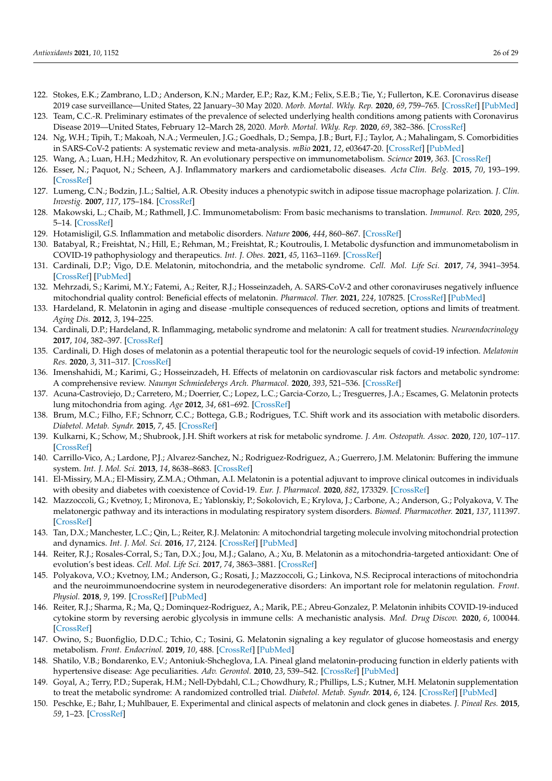- <span id="page-25-0"></span>122. Stokes, E.K.; Zambrano, L.D.; Anderson, K.N.; Marder, E.P.; Raz, K.M.; Felix, S.E.B.; Tie, Y.; Fullerton, K.E. Coronavirus disease 2019 case surveillance—United States, 22 January–30 May 2020. *Morb. Mortal. Wkly. Rep.* **2020**, *69*, 759–765. [\[CrossRef\]](http://doi.org/10.15585/mmwr.mm6924e2) [\[PubMed\]](http://www.ncbi.nlm.nih.gov/pubmed/32555134)
- <span id="page-25-1"></span>123. Team, C.C.-R. Preliminary estimates of the prevalence of selected underlying health conditions among patients with Coronavirus Disease 2019—United States, February 12–March 28, 2020. *Morb. Mortal. Wkly. Rep.* **2020**, *69*, 382–386. [\[CrossRef\]](http://doi.org/10.15585/mmwr.mm6913e2)
- <span id="page-25-2"></span>124. Ng, W.H.; Tipih, T.; Makoah, N.A.; Vermeulen, J.G.; Goedhals, D.; Sempa, J.B.; Burt, F.J.; Taylor, A.; Mahalingam, S. Comorbidities in SARS-CoV-2 patients: A systematic review and meta-analysis. *mBio* **2021**, *12*, e03647-20. [\[CrossRef\]](http://doi.org/10.1128/mBio.03647-20) [\[PubMed\]](http://www.ncbi.nlm.nih.gov/pubmed/33563817)
- <span id="page-25-3"></span>125. Wang, A.; Luan, H.H.; Medzhitov, R. An evolutionary perspective on immunometabolism. *Science* **2019**, *363*. [\[CrossRef\]](http://doi.org/10.1126/science.aar3932)
- <span id="page-25-4"></span>126. Esser, N.; Paquot, N.; Scheen, A.J. Inflammatory markers and cardiometabolic diseases. *Acta Clin. Belg.* **2015**, *70*, 193–199. [\[CrossRef\]](http://doi.org/10.1179/2295333715Y.0000000004)
- <span id="page-25-5"></span>127. Lumeng, C.N.; Bodzin, J.L.; Saltiel, A.R. Obesity induces a phenotypic switch in adipose tissue macrophage polarization. *J. Clin. Investig.* **2007**, *117*, 175–184. [\[CrossRef\]](http://doi.org/10.1172/JCI29881)
- <span id="page-25-6"></span>128. Makowski, L.; Chaib, M.; Rathmell, J.C. Immunometabolism: From basic mechanisms to translation. *Immunol. Rev.* **2020**, *295*, 5–14. [\[CrossRef\]](http://doi.org/10.1111/imr.12858)
- <span id="page-25-7"></span>129. Hotamisligil, G.S. Inflammation and metabolic disorders. *Nature* **2006**, *444*, 860–867. [\[CrossRef\]](http://doi.org/10.1038/nature05485)
- <span id="page-25-8"></span>130. Batabyal, R.; Freishtat, N.; Hill, E.; Rehman, M.; Freishtat, R.; Koutroulis, I. Metabolic dysfunction and immunometabolism in COVID-19 pathophysiology and therapeutics. *Int. J. Obes.* **2021**, *45*, 1163–1169. [\[CrossRef\]](http://doi.org/10.1038/s41366-021-00804-7)
- <span id="page-25-9"></span>131. Cardinali, D.P.; Vigo, D.E. Melatonin, mitochondria, and the metabolic syndrome. *Cell. Mol. Life Sci.* **2017**, *74*, 3941–3954. [\[CrossRef\]](http://doi.org/10.1007/s00018-017-2611-0) [\[PubMed\]](http://www.ncbi.nlm.nih.gov/pubmed/28819865)
- <span id="page-25-10"></span>132. Mehrzadi, S.; Karimi, M.Y.; Fatemi, A.; Reiter, R.J.; Hosseinzadeh, A. SARS-CoV-2 and other coronaviruses negatively influence mitochondrial quality control: Beneficial effects of melatonin. *Pharmacol. Ther.* **2021**, *224*, 107825. [\[CrossRef\]](http://doi.org/10.1016/j.pharmthera.2021.107825) [\[PubMed\]](http://www.ncbi.nlm.nih.gov/pubmed/33662449)
- <span id="page-25-14"></span>133. Hardeland, R. Melatonin in aging and disease -multiple consequences of reduced secretion, options and limits of treatment. *Aging Dis.* **2012**, *3*, 194–225.
- <span id="page-25-11"></span>134. Cardinali, D.P.; Hardeland, R. Inflammaging, metabolic syndrome and melatonin: A call for treatment studies. *Neuroendocrinology* **2017**, *104*, 382–397. [\[CrossRef\]](http://doi.org/10.1159/000446543)
- 135. Cardinali, D. High doses of melatonin as a potential therapeutic tool for the neurologic sequels of covid-19 infection. *Melatonin Res.* **2020**, *3*, 311–317. [\[CrossRef\]](http://doi.org/10.32794/mr11250064)
- <span id="page-25-12"></span>136. Imenshahidi, M.; Karimi, G.; Hosseinzadeh, H. Effects of melatonin on cardiovascular risk factors and metabolic syndrome: A comprehensive review. *Naunyn Schmiedebergs Arch. Pharmacol.* **2020**, *393*, 521–536. [\[CrossRef\]](http://doi.org/10.1007/s00210-020-01822-4)
- <span id="page-25-13"></span>137. Acuna-Castroviejo, D.; Carretero, M.; Doerrier, C.; Lopez, L.C.; Garcia-Corzo, L.; Tresguerres, J.A.; Escames, G. Melatonin protects lung mitochondria from aging. *Age* **2012**, *34*, 681–692. [\[CrossRef\]](http://doi.org/10.1007/s11357-011-9267-8)
- <span id="page-25-15"></span>138. Brum, M.C.; Filho, F.F.; Schnorr, C.C.; Bottega, G.B.; Rodrigues, T.C. Shift work and its association with metabolic disorders. *Diabetol. Metab. Syndr.* **2015**, *7*, 45. [\[CrossRef\]](http://doi.org/10.1186/s13098-015-0041-4)
- <span id="page-25-16"></span>139. Kulkarni, K.; Schow, M.; Shubrook, J.H. Shift workers at risk for metabolic syndrome. *J. Am. Osteopath. Assoc.* **2020**, *120*, 107–117. [\[CrossRef\]](http://doi.org/10.7556/jaoa.2020.020)
- <span id="page-25-17"></span>140. Carrillo-Vico, A.; Lardone, P.J.; Alvarez-Sanchez, N.; Rodriguez-Rodriguez, A.; Guerrero, J.M. Melatonin: Buffering the immune system. *Int. J. Mol. Sci.* **2013**, *14*, 8638–8683. [\[CrossRef\]](http://doi.org/10.3390/ijms14048638)
- <span id="page-25-18"></span>141. El-Missiry, M.A.; El-Missiry, Z.M.A.; Othman, A.I. Melatonin is a potential adjuvant to improve clinical outcomes in individuals with obesity and diabetes with coexistence of Covid-19. *Eur. J. Pharmacol.* **2020**, *882*, 173329. [\[CrossRef\]](http://doi.org/10.1016/j.ejphar.2020.173329)
- <span id="page-25-19"></span>142. Mazzoccoli, G.; Kvetnoy, I.; Mironova, E.; Yablonskiy, P.; Sokolovich, E.; Krylova, J.; Carbone, A.; Anderson, G.; Polyakova, V. The melatonergic pathway and its interactions in modulating respiratory system disorders. *Biomed. Pharmacother.* **2021**, *137*, 111397. [\[CrossRef\]](http://doi.org/10.1016/j.biopha.2021.111397)
- <span id="page-25-20"></span>143. Tan, D.X.; Manchester, L.C.; Qin, L.; Reiter, R.J. Melatonin: A mitochondrial targeting molecule involving mitochondrial protection and dynamics. *Int. J. Mol. Sci.* **2016**, *17*, 2124. [\[CrossRef\]](http://doi.org/10.3390/ijms17122124) [\[PubMed\]](http://www.ncbi.nlm.nih.gov/pubmed/27999288)
- <span id="page-25-21"></span>144. Reiter, R.J.; Rosales-Corral, S.; Tan, D.X.; Jou, M.J.; Galano, A.; Xu, B. Melatonin as a mitochondria-targeted antioxidant: One of evolution's best ideas. *Cell. Mol. Life Sci.* **2017**, *74*, 3863–3881. [\[CrossRef\]](http://doi.org/10.1007/s00018-017-2609-7)
- <span id="page-25-22"></span>145. Polyakova, V.O.; Kvetnoy, I.M.; Anderson, G.; Rosati, J.; Mazzoccoli, G.; Linkova, N.S. Reciprocal interactions of mitochondria and the neuroimmunoendocrine system in neurodegenerative disorders: An important role for melatonin regulation. *Front. Physiol.* **2018**, *9*, 199. [\[CrossRef\]](http://doi.org/10.3389/fphys.2018.00199) [\[PubMed\]](http://www.ncbi.nlm.nih.gov/pubmed/29593561)
- <span id="page-25-23"></span>146. Reiter, R.J.; Sharma, R.; Ma, Q.; Dominquez-Rodriguez, A.; Marik, P.E.; Abreu-Gonzalez, P. Melatonin inhibits COVID-19-induced cytokine storm by reversing aerobic glycolysis in immune cells: A mechanistic analysis. *Med. Drug Discov.* **2020**, *6*, 100044. [\[CrossRef\]](http://doi.org/10.1016/j.medidd.2020.100044)
- <span id="page-25-24"></span>147. Owino, S.; Buonfiglio, D.D.C.; Tchio, C.; Tosini, G. Melatonin signaling a key regulator of glucose homeostasis and energy metabolism. *Front. Endocrinol.* **2019**, *10*, 488. [\[CrossRef\]](http://doi.org/10.3389/fendo.2019.00488) [\[PubMed\]](http://www.ncbi.nlm.nih.gov/pubmed/31379753)
- <span id="page-25-25"></span>148. Shatilo, V.B.; Bondarenko, E.V.; Antoniuk-Shcheglova, I.A. Pineal gland melatonin-producing function in elderly patients with hypertensive disease: Age peculiarities. *Adv. Gerontol.* **2010**, *23*, 539–542. [\[CrossRef\]](http://doi.org/10.1134/S2079057011030131) [\[PubMed\]](http://www.ncbi.nlm.nih.gov/pubmed/21510075)
- 149. Goyal, A.; Terry, P.D.; Superak, H.M.; Nell-Dybdahl, C.L.; Chowdhury, R.; Phillips, L.S.; Kutner, M.H. Melatonin supplementation to treat the metabolic syndrome: A randomized controlled trial. *Diabetol. Metab. Syndr.* **2014**, *6*, 124. [\[CrossRef\]](http://doi.org/10.1186/1758-5996-6-124) [\[PubMed\]](http://www.ncbi.nlm.nih.gov/pubmed/25937837)
- 150. Peschke, E.; Bahr, I.; Muhlbauer, E. Experimental and clinical aspects of melatonin and clock genes in diabetes. *J. Pineal Res.* **2015**, *59*, 1–23. [\[CrossRef\]](http://doi.org/10.1111/jpi.12240)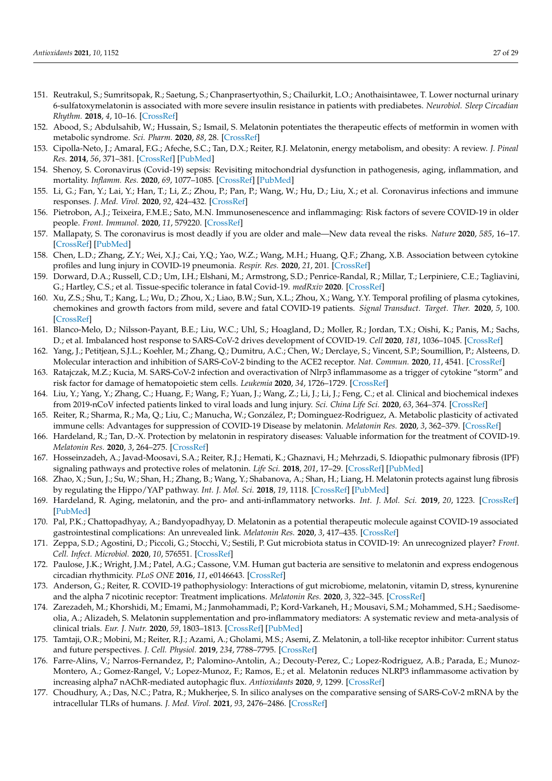- 151. Reutrakul, S.; Sumritsopak, R.; Saetung, S.; Chanprasertyothin, S.; Chailurkit, L.O.; Anothaisintawee, T. Lower nocturnal urinary 6-sulfatoxymelatonin is associated with more severe insulin resistance in patients with prediabetes. *Neurobiol. Sleep Circadian Rhythm.* **2018**, *4*, 10–16. [\[CrossRef\]](http://doi.org/10.1016/j.nbscr.2017.06.001)
- <span id="page-26-0"></span>152. Abood, S.; Abdulsahib, W.; Hussain, S.; Ismail, S. Melatonin potentiates the therapeutic effects of metformin in women with metabolic syndrome. *Sci. Pharm.* **2020**, *88*, 28. [\[CrossRef\]](http://doi.org/10.3390/scipharm88020028)
- <span id="page-26-1"></span>153. Cipolla-Neto, J.; Amaral, F.G.; Afeche, S.C.; Tan, D.X.; Reiter, R.J. Melatonin, energy metabolism, and obesity: A review. *J. Pineal Res.* **2014**, *56*, 371–381. [\[CrossRef\]](http://doi.org/10.1111/jpi.12137) [\[PubMed\]](http://www.ncbi.nlm.nih.gov/pubmed/24654916)
- <span id="page-26-2"></span>154. Shenoy, S. Coronavirus (Covid-19) sepsis: Revisiting mitochondrial dysfunction in pathogenesis, aging, inflammation, and mortality. *Inflamm. Res.* **2020**, *69*, 1077–1085. [\[CrossRef\]](http://doi.org/10.1007/s00011-020-01389-z) [\[PubMed\]](http://www.ncbi.nlm.nih.gov/pubmed/32767095)
- <span id="page-26-3"></span>155. Li, G.; Fan, Y.; Lai, Y.; Han, T.; Li, Z.; Zhou, P.; Pan, P.; Wang, W.; Hu, D.; Liu, X.; et al. Coronavirus infections and immune responses. *J. Med. Virol.* **2020**, *92*, 424–432. [\[CrossRef\]](http://doi.org/10.1002/jmv.25685)
- <span id="page-26-4"></span>156. Pietrobon, A.J.; Teixeira, F.M.E.; Sato, M.N. Immunosenescence and inflammaging: Risk factors of severe COVID-19 in older people. *Front. Immunol.* **2020**, *11*, 579220. [\[CrossRef\]](http://doi.org/10.3389/fimmu.2020.579220)
- <span id="page-26-5"></span>157. Mallapaty, S. The coronavirus is most deadly if you are older and male—New data reveal the risks. *Nature* **2020**, *585*, 16–17. [\[CrossRef\]](http://doi.org/10.1038/d41586-020-02483-2) [\[PubMed\]](http://www.ncbi.nlm.nih.gov/pubmed/32860026)
- <span id="page-26-6"></span>158. Chen, L.D.; Zhang, Z.Y.; Wei, X.J.; Cai, Y.Q.; Yao, W.Z.; Wang, M.H.; Huang, Q.F.; Zhang, X.B. Association between cytokine profiles and lung injury in COVID-19 pneumonia. *Respir. Res.* **2020**, *21*, 201. [\[CrossRef\]](http://doi.org/10.1186/s12931-020-01465-2)
- <span id="page-26-7"></span>159. Dorward, D.A.; Russell, C.D.; Um, I.H.; Elshani, M.; Armstrong, S.D.; Penrice-Randal, R.; Millar, T.; Lerpiniere, C.E.; Tagliavini, G.; Hartley, C.S.; et al. Tissue-specific tolerance in fatal Covid-19. *medRxiv* **2020**. [\[CrossRef\]](http://doi.org/10.1101/2020.07.02.20145003)
- <span id="page-26-8"></span>160. Xu, Z.S.; Shu, T.; Kang, L.; Wu, D.; Zhou, X.; Liao, B.W.; Sun, X.L.; Zhou, X.; Wang, Y.Y. Temporal profiling of plasma cytokines, chemokines and growth factors from mild, severe and fatal COVID-19 patients. *Signal Transduct. Target. Ther.* **2020**, *5*, 100. [\[CrossRef\]](http://doi.org/10.1038/s41392-020-0211-1)
- <span id="page-26-9"></span>161. Blanco-Melo, D.; Nilsson-Payant, B.E.; Liu, W.C.; Uhl, S.; Hoagland, D.; Moller, R.; Jordan, T.X.; Oishi, K.; Panis, M.; Sachs, D.; et al. Imbalanced host response to SARS-CoV-2 drives development of COVID-19. *Cell* **2020**, *181*, 1036–1045. [\[CrossRef\]](http://doi.org/10.1016/j.cell.2020.04.026)
- <span id="page-26-10"></span>162. Yang, J.; Petitjean, S.J.L.; Koehler, M.; Zhang, Q.; Dumitru, A.C.; Chen, W.; Derclaye, S.; Vincent, S.P.; Soumillion, P.; Alsteens, D. Molecular interaction and inhibition of SARS-CoV-2 binding to the ACE2 receptor. *Nat. Commun.* **2020**, *11*, 4541. [\[CrossRef\]](http://doi.org/10.1038/s41467-020-18319-6)
- <span id="page-26-11"></span>163. Ratajczak, M.Z.; Kucia, M. SARS-CoV-2 infection and overactivation of Nlrp3 inflammasome as a trigger of cytokine "storm" and risk factor for damage of hematopoietic stem cells. *Leukemia* **2020**, *34*, 1726–1729. [\[CrossRef\]](http://doi.org/10.1038/s41375-020-0887-9)
- <span id="page-26-12"></span>164. Liu, Y.; Yang, Y.; Zhang, C.; Huang, F.; Wang, F.; Yuan, J.; Wang, Z.; Li, J.; Li, J.; Feng, C.; et al. Clinical and biochemical indexes from 2019-nCoV infected patients linked to viral loads and lung injury. *Sci. China Life Sci.* **2020**, *63*, 364–374. [\[CrossRef\]](http://doi.org/10.1007/s11427-020-1643-8)
- <span id="page-26-13"></span>165. Reiter, R.; Sharma, R.; Ma, Q.; Liu, C.; Manucha, W.; González, P.; Dominguez-Rodriguez, A. Metabolic plasticity of activated immune cells: Advantages for suppression of COVID-19 Disease by melatonin. *Melatonin Res.* **2020**, *3*, 362–379. [\[CrossRef\]](http://doi.org/10.32794/mr11250068)
- <span id="page-26-14"></span>166. Hardeland, R.; Tan, D.-X. Protection by melatonin in respiratory diseases: Valuable information for the treatment of COVID-19. *Melatonin Res.* **2020**, *3*, 264–275. [\[CrossRef\]](http://doi.org/10.32794/mr11250061)
- <span id="page-26-15"></span>167. Hosseinzadeh, A.; Javad-Moosavi, S.A.; Reiter, R.J.; Hemati, K.; Ghaznavi, H.; Mehrzadi, S. Idiopathic pulmonary fibrosis (IPF) signaling pathways and protective roles of melatonin. *Life Sci.* **2018**, *201*, 17–29. [\[CrossRef\]](http://doi.org/10.1016/j.lfs.2018.03.032) [\[PubMed\]](http://www.ncbi.nlm.nih.gov/pubmed/29567077)
- <span id="page-26-16"></span>168. Zhao, X.; Sun, J.; Su, W.; Shan, H.; Zhang, B.; Wang, Y.; Shabanova, A.; Shan, H.; Liang, H. Melatonin protects against lung fibrosis by regulating the Hippo/YAP pathway. *Int. J. Mol. Sci.* **2018**, *19*, 1118. [\[CrossRef\]](http://doi.org/10.3390/ijms19041118) [\[PubMed\]](http://www.ncbi.nlm.nih.gov/pubmed/29642520)
- <span id="page-26-17"></span>169. Hardeland, R. Aging, melatonin, and the pro- and anti-inflammatory networks. *Int. J. Mol. Sci.* **2019**, *20*, 1223. [\[CrossRef\]](http://doi.org/10.3390/ijms20051223) [\[PubMed\]](http://www.ncbi.nlm.nih.gov/pubmed/30862067)
- <span id="page-26-18"></span>170. Pal, P.K.; Chattopadhyay, A.; Bandyopadhyay, D. Melatonin as a potential therapeutic molecule against COVID-19 associated gastrointestinal complications: An unrevealed link. *Melatonin Res.* **2020**, *3*, 417–435. [\[CrossRef\]](http://doi.org/10.32794/mr11250070)
- <span id="page-26-19"></span>171. Zeppa, S.D.; Agostini, D.; Piccoli, G.; Stocchi, V.; Sestili, P. Gut microbiota status in COVID-19: An unrecognized player? *Front. Cell. Infect. Microbiol.* **2020**, *10*, 576551. [\[CrossRef\]](http://doi.org/10.3389/fcimb.2020.576551)
- <span id="page-26-20"></span>172. Paulose, J.K.; Wright, J.M.; Patel, A.G.; Cassone, V.M. Human gut bacteria are sensitive to melatonin and express endogenous circadian rhythmicity. *PLoS ONE* **2016**, *11*, e0146643. [\[CrossRef\]](http://doi.org/10.1371/journal.pone.0146643)
- <span id="page-26-21"></span>173. Anderson, G.; Reiter, R. COVID-19 pathophysiology: Interactions of gut microbiome, melatonin, vitamin D, stress, kynurenine and the alpha 7 nicotinic receptor: Treatment implications. *Melatonin Res.* **2020**, *3*, 322–345. [\[CrossRef\]](http://doi.org/10.32794/mr11250066)
- <span id="page-26-22"></span>174. Zarezadeh, M.; Khorshidi, M.; Emami, M.; Janmohammadi, P.; Kord-Varkaneh, H.; Mousavi, S.M.; Mohammed, S.H.; Saedisomeolia, A.; Alizadeh, S. Melatonin supplementation and pro-inflammatory mediators: A systematic review and meta-analysis of clinical trials. *Eur. J. Nutr.* **2020**, *59*, 1803–1813. [\[CrossRef\]](http://doi.org/10.1007/s00394-019-02123-0) [\[PubMed\]](http://www.ncbi.nlm.nih.gov/pubmed/31679041)
- <span id="page-26-23"></span>175. Tamtaji, O.R.; Mobini, M.; Reiter, R.J.; Azami, A.; Gholami, M.S.; Asemi, Z. Melatonin, a toll-like receptor inhibitor: Current status and future perspectives. *J. Cell. Physiol.* **2019**, *234*, 7788–7795. [\[CrossRef\]](http://doi.org/10.1002/jcp.27698)
- <span id="page-26-24"></span>176. Farre-Alins, V.; Narros-Fernandez, P.; Palomino-Antolin, A.; Decouty-Perez, C.; Lopez-Rodriguez, A.B.; Parada, E.; Munoz-Montero, A.; Gomez-Rangel, V.; Lopez-Munoz, F.; Ramos, E.; et al. Melatonin reduces NLRP3 inflammasome activation by increasing alpha7 nAChR-mediated autophagic flux. *Antioxidants* **2020**, *9*, 1299. [\[CrossRef\]](http://doi.org/10.3390/antiox9121299)
- <span id="page-26-25"></span>177. Choudhury, A.; Das, N.C.; Patra, R.; Mukherjee, S. In silico analyses on the comparative sensing of SARS-CoV-2 mRNA by the intracellular TLRs of humans. *J. Med. Virol.* **2021**, *93*, 2476–2486. [\[CrossRef\]](http://doi.org/10.1002/jmv.26776)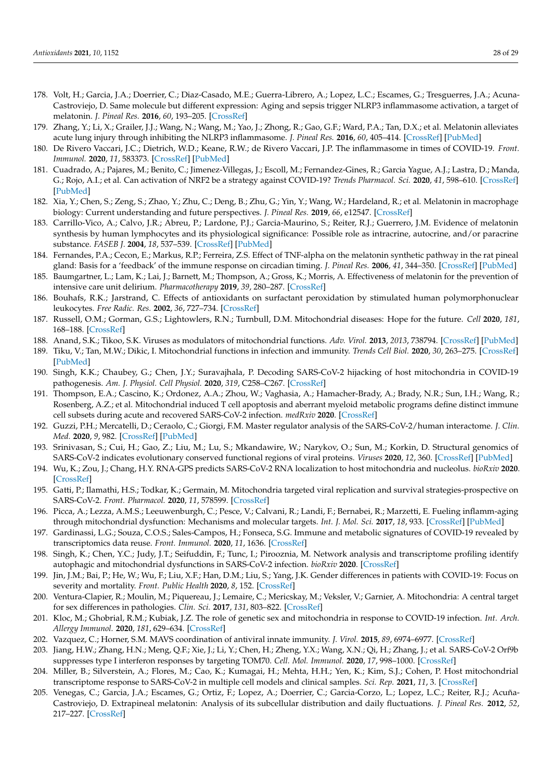- <span id="page-27-0"></span>178. Volt, H.; Garcia, J.A.; Doerrier, C.; Diaz-Casado, M.E.; Guerra-Librero, A.; Lopez, L.C.; Escames, G.; Tresguerres, J.A.; Acuna-Castroviejo, D. Same molecule but different expression: Aging and sepsis trigger NLRP3 inflammasome activation, a target of melatonin. *J. Pineal Res.* **2016**, *60*, 193–205. [\[CrossRef\]](http://doi.org/10.1111/jpi.12303)
- <span id="page-27-1"></span>179. Zhang, Y.; Li, X.; Grailer, J.J.; Wang, N.; Wang, M.; Yao, J.; Zhong, R.; Gao, G.F.; Ward, P.A.; Tan, D.X.; et al. Melatonin alleviates acute lung injury through inhibiting the NLRP3 inflammasome. *J. Pineal Res.* **2016**, *60*, 405–414. [\[CrossRef\]](http://doi.org/10.1111/jpi.12322) [\[PubMed\]](http://www.ncbi.nlm.nih.gov/pubmed/26888116)
- <span id="page-27-2"></span>180. De Rivero Vaccari, J.C.; Dietrich, W.D.; Keane, R.W.; de Rivero Vaccari, J.P. The inflammasome in times of COVID-19. *Front. Immunol.* **2020**, *11*, 583373. [\[CrossRef\]](http://doi.org/10.3389/fimmu.2020.583373) [\[PubMed\]](http://www.ncbi.nlm.nih.gov/pubmed/33149733)
- <span id="page-27-3"></span>181. Cuadrado, A.; Pajares, M.; Benito, C.; Jimenez-Villegas, J.; Escoll, M.; Fernandez-Gines, R.; Garcia Yague, A.J.; Lastra, D.; Manda, G.; Rojo, A.I.; et al. Can activation of NRF2 be a strategy against COVID-19? *Trends Pharmacol. Sci.* **2020**, *41*, 598–610. [\[CrossRef\]](http://doi.org/10.1016/j.tips.2020.07.003) [\[PubMed\]](http://www.ncbi.nlm.nih.gov/pubmed/32711925)
- <span id="page-27-4"></span>182. Xia, Y.; Chen, S.; Zeng, S.; Zhao, Y.; Zhu, C.; Deng, B.; Zhu, G.; Yin, Y.; Wang, W.; Hardeland, R.; et al. Melatonin in macrophage biology: Current understanding and future perspectives. *J. Pineal Res.* **2019**, *66*, e12547. [\[CrossRef\]](http://doi.org/10.1111/jpi.12547)
- <span id="page-27-5"></span>183. Carrillo-Vico, A.; Calvo, J.R.; Abreu, P.; Lardone, P.J.; Garcia-Maurino, S.; Reiter, R.J.; Guerrero, J.M. Evidence of melatonin synthesis by human lymphocytes and its physiological significance: Possible role as intracrine, autocrine, and/or paracrine substance. *FASEB J.* **2004**, *18*, 537–539. [\[CrossRef\]](http://doi.org/10.1096/fj.03-0694fje) [\[PubMed\]](http://www.ncbi.nlm.nih.gov/pubmed/14715696)
- <span id="page-27-6"></span>184. Fernandes, P.A.; Cecon, E.; Markus, R.P.; Ferreira, Z.S. Effect of TNF-alpha on the melatonin synthetic pathway in the rat pineal gland: Basis for a 'feedback' of the immune response on circadian timing. *J. Pineal Res.* **2006**, *41*, 344–350. [\[CrossRef\]](http://doi.org/10.1111/j.1600-079X.2006.00373.x) [\[PubMed\]](http://www.ncbi.nlm.nih.gov/pubmed/17014691)
- <span id="page-27-7"></span>185. Baumgartner, L.; Lam, K.; Lai, J.; Barnett, M.; Thompson, A.; Gross, K.; Morris, A. Effectiveness of melatonin for the prevention of intensive care unit delirium. *Pharmacotherapy* **2019**, *39*, 280–287. [\[CrossRef\]](http://doi.org/10.1002/phar.2222)
- <span id="page-27-8"></span>186. Bouhafs, R.K.; Jarstrand, C. Effects of antioxidants on surfactant peroxidation by stimulated human polymorphonuclear leukocytes. *Free Radic. Res.* **2002**, *36*, 727–734. [\[CrossRef\]](http://doi.org/10.1080/10715760290032593)
- <span id="page-27-9"></span>187. Russell, O.M.; Gorman, G.S.; Lightowlers, R.N.; Turnbull, D.M. Mitochondrial diseases: Hope for the future. *Cell* **2020**, *181*, 168–188. [\[CrossRef\]](http://doi.org/10.1016/j.cell.2020.02.051)
- <span id="page-27-10"></span>188. Anand, S.K.; Tikoo, S.K. Viruses as modulators of mitochondrial functions. *Adv. Virol.* **2013**, *2013*, 738794. [\[CrossRef\]](http://doi.org/10.1155/2013/738794) [\[PubMed\]](http://www.ncbi.nlm.nih.gov/pubmed/24260034)
- <span id="page-27-11"></span>189. Tiku, V.; Tan, M.W.; Dikic, I. Mitochondrial functions in infection and immunity. *Trends Cell Biol.* **2020**, *30*, 263–275. [\[CrossRef\]](http://doi.org/10.1016/j.tcb.2020.01.006) [\[PubMed\]](http://www.ncbi.nlm.nih.gov/pubmed/32200805)
- <span id="page-27-12"></span>190. Singh, K.K.; Chaubey, G.; Chen, J.Y.; Suravajhala, P. Decoding SARS-CoV-2 hijacking of host mitochondria in COVID-19 pathogenesis. *Am. J. Physiol. Cell Physiol.* **2020**, *319*, C258–C267. [\[CrossRef\]](http://doi.org/10.1152/ajpcell.00224.2020)
- <span id="page-27-13"></span>191. Thompson, E.A.; Cascino, K.; Ordonez, A.A.; Zhou, W.; Vaghasia, A.; Hamacher-Brady, A.; Brady, N.R.; Sun, I.H.; Wang, R.; Rosenberg, A.Z.; et al. Mitochondrial induced T cell apoptosis and aberrant myeloid metabolic programs define distinct immune cell subsets during acute and recovered SARS-CoV-2 infection. *medRxiv* **2020**. [\[CrossRef\]](http://doi.org/10.1101/2020.09.10.20186064)
- <span id="page-27-14"></span>192. Guzzi, P.H.; Mercatelli, D.; Ceraolo, C.; Giorgi, F.M. Master regulator analysis of the SARS-CoV-2/human interactome. *J. Clin. Med.* **2020**, *9*, 982. [\[CrossRef\]](http://doi.org/10.3390/jcm9040982) [\[PubMed\]](http://www.ncbi.nlm.nih.gov/pubmed/32244779)
- <span id="page-27-15"></span>193. Srinivasan, S.; Cui, H.; Gao, Z.; Liu, M.; Lu, S.; Mkandawire, W.; Narykov, O.; Sun, M.; Korkin, D. Structural genomics of SARS-CoV-2 indicates evolutionary conserved functional regions of viral proteins. *Viruses* **2020**, *12*, 360. [\[CrossRef\]](http://doi.org/10.3390/v12040360) [\[PubMed\]](http://www.ncbi.nlm.nih.gov/pubmed/32218151)
- <span id="page-27-16"></span>194. Wu, K.; Zou, J.; Chang, H.Y. RNA-GPS predicts SARS-CoV-2 RNA localization to host mitochondria and nucleolus. *bioRxiv* **2020**. [\[CrossRef\]](http://doi.org/10.1101/2020.04.28.065201)
- <span id="page-27-17"></span>195. Gatti, P.; Ilamathi, H.S.; Todkar, K.; Germain, M. Mitochondria targeted viral replication and survival strategies-prospective on SARS-CoV-2. *Front. Pharmacol.* **2020**, *11*, 578599. [\[CrossRef\]](http://doi.org/10.3389/fphar.2020.578599)
- <span id="page-27-18"></span>196. Picca, A.; Lezza, A.M.S.; Leeuwenburgh, C.; Pesce, V.; Calvani, R.; Landi, F.; Bernabei, R.; Marzetti, E. Fueling inflamm-aging through mitochondrial dysfunction: Mechanisms and molecular targets. *Int. J. Mol. Sci.* **2017**, *18*, 933. [\[CrossRef\]](http://doi.org/10.3390/ijms18050933) [\[PubMed\]](http://www.ncbi.nlm.nih.gov/pubmed/28452964)
- <span id="page-27-19"></span>197. Gardinassi, L.G.; Souza, C.O.S.; Sales-Campos, H.; Fonseca, S.G. Immune and metabolic signatures of COVID-19 revealed by transcriptomics data reuse. *Front. Immunol.* **2020**, *11*, 1636. [\[CrossRef\]](http://doi.org/10.3389/fimmu.2020.01636)
- <span id="page-27-20"></span>198. Singh, K.; Chen, Y.C.; Judy, J.T.; Seifuddin, F.; Tunc, I.; Pirooznia, M. Network analysis and transcriptome profiling identify autophagic and mitochondrial dysfunctions in SARS-CoV-2 infection. *bioRxiv* **2020**. [\[CrossRef\]](http://doi.org/10.1101/2020.05.13.092536)
- <span id="page-27-21"></span>199. Jin, J.M.; Bai, P.; He, W.; Wu, F.; Liu, X.F.; Han, D.M.; Liu, S.; Yang, J.K. Gender differences in patients with COVID-19: Focus on severity and mortality. *Front. Public Health* **2020**, *8*, 152. [\[CrossRef\]](http://doi.org/10.3389/fpubh.2020.00152)
- <span id="page-27-22"></span>200. Ventura-Clapier, R.; Moulin, M.; Piquereau, J.; Lemaire, C.; Mericskay, M.; Veksler, V.; Garnier, A. Mitochondria: A central target for sex differences in pathologies. *Clin. Sci.* **2017**, *131*, 803–822. [\[CrossRef\]](http://doi.org/10.1042/CS20160485)
- <span id="page-27-23"></span>201. Kloc, M.; Ghobrial, R.M.; Kubiak, J.Z. The role of genetic sex and mitochondria in response to COVID-19 infection. *Int. Arch. Allergy Immunol.* **2020**, *181*, 629–634. [\[CrossRef\]](http://doi.org/10.1159/000508560)
- <span id="page-27-24"></span>202. Vazquez, C.; Horner, S.M. MAVS coordination of antiviral innate immunity. *J. Virol.* **2015**, *89*, 6974–6977. [\[CrossRef\]](http://doi.org/10.1128/JVI.01918-14)
- <span id="page-27-25"></span>203. Jiang, H.W.; Zhang, H.N.; Meng, Q.F.; Xie, J.; Li, Y.; Chen, H.; Zheng, Y.X.; Wang, X.N.; Qi, H.; Zhang, J.; et al. SARS-CoV-2 Orf9b suppresses type I interferon responses by targeting TOM70. *Cell. Mol. Immunol.* **2020**, *17*, 998–1000. [\[CrossRef\]](http://doi.org/10.1038/s41423-020-0514-8)
- <span id="page-27-26"></span>204. Miller, B.; Silverstein, A.; Flores, M.; Cao, K.; Kumagai, H.; Mehta, H.H.; Yen, K.; Kim, S.J.; Cohen, P. Host mitochondrial transcriptome response to SARS-CoV-2 in multiple cell models and clinical samples. *Sci. Rep.* **2021**, *11*, 3. [\[CrossRef\]](http://doi.org/10.1038/s41598-020-79552-z)
- <span id="page-27-27"></span>205. Venegas, C.; Garcia, J.A.; Escames, G.; Ortiz, F.; Lopez, A.; Doerrier, C.; Garcia-Corzo, L.; Lopez, L.C.; Reiter, R.J.; Acuña-Castroviejo, D. Extrapineal melatonin: Analysis of its subcellular distribution and daily fluctuations. *J. Pineal Res.* **2012**, *52*, 217–227. [\[CrossRef\]](http://doi.org/10.1111/j.1600-079X.2011.00931.x)